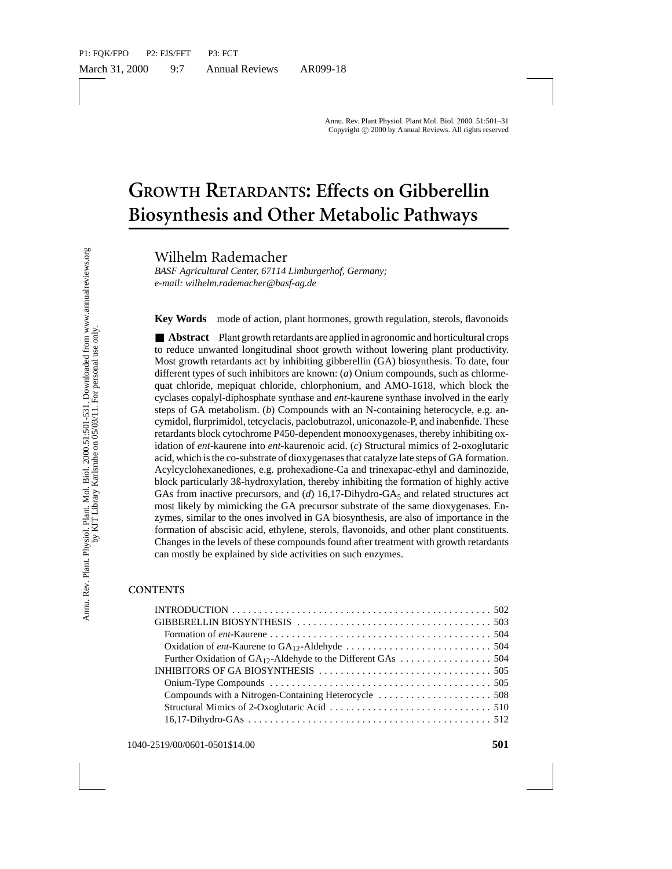# **GROWTH RETARDANTS: Effects on Gibberellin Biosynthesis and Other Metabolic Pathways**

Wilhelm Rademacher

*BASF Agricultural Center, 67114 Limburgerhof, Germany; e-mail: wilhelm.rademacher@basf-ag.de*

**Key Words** mode of action, plant hormones, growth regulation, sterols, flavonoids

**TRETARDAINTS. ENCES OF GFORM**<br> **INSTREMENT AND RESPAIN TO THE STATE AND RESPAIN TO THE STATE IN THE CONDIDED STATE IN the m.rademacher@bast-ag.de**<br> **Ms** mode of action, plant hormones, growth regulation, set also mode of ■ **Abstract** Plant growth retardants are applied in agronomic and horticultural crops to reduce unwanted longitudinal shoot growth without lowering plant productivity. Most growth retardants act by inhibiting gibberellin (GA) biosynthesis. To date, four different types of such inhibitors are known: (*a*) Onium compounds, such as chlormequat chloride, mepiquat chloride, chlorphonium, and AMO-1618, which block the cyclases copalyl-diphosphate synthase and *ent*-kaurene synthase involved in the early steps of GA metabolism. (*b*) Compounds with an N-containing heterocycle, e.g. ancymidol, flurprimidol, tetcyclacis, paclobutrazol, uniconazole-P, and inabenfide. These retardants block cytochrome P450-dependent monooxygenases, thereby inhibiting oxidation of *ent*-kaurene into *ent*-kaurenoic acid. (*c*) Structural mimics of 2-oxoglutaric acid, which is the co-substrate of dioxygenases that catalyze late steps of GA formation. Acylcyclohexanediones, e.g. prohexadione-Ca and trinexapac-ethyl and daminozide, block particularly 3ß-hydroxylation, thereby inhibiting the formation of highly active GAs from inactive precursors, and (*d*) 16,17-Dihydro-GA<sub>5</sub> and related structures act most likely by mimicking the GA precursor substrate of the same dioxygenases. Enzymes, similar to the ones involved in GA biosynthesis, are also of importance in the formation of abscisic acid, ethylene, sterols, flavonoids, and other plant constituents. Changes in the levels of these compounds found after treatment with growth retardants can mostly be explained by side activities on such enzymes.

#### **CONTENTS**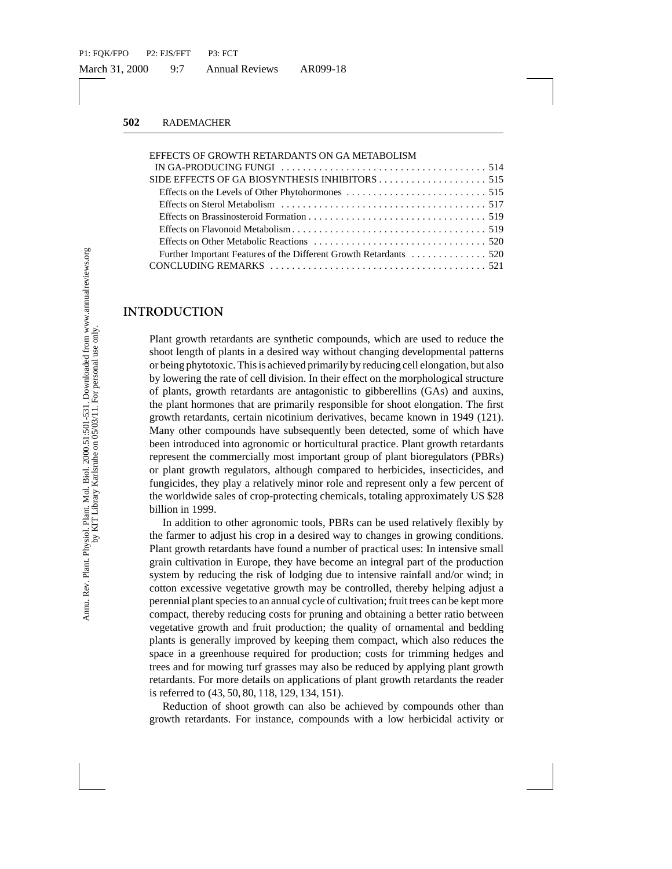| EFFECTS OF GROWTH RETARDANTS ON GA METABOLISM                                                                   |
|-----------------------------------------------------------------------------------------------------------------|
| IN GA-PRODUCING FUNGI $\ldots \ldots \ldots \ldots \ldots \ldots \ldots \ldots \ldots \ldots \ldots \ldots 514$ |
|                                                                                                                 |
|                                                                                                                 |
|                                                                                                                 |
|                                                                                                                 |
|                                                                                                                 |
|                                                                                                                 |
|                                                                                                                 |
|                                                                                                                 |

#### **INTRODUCTION**

Plant growth retardants are synthetic compounds, which are used to reduce the shoot length of plants in a desired way without changing developmental patterns or being phytotoxic. This is achieved primarily by reducing cell elongation, but also by lowering the rate of cell division. In their effect on the morphological structure of plants, growth retardants are antagonistic to gibberellins (GAs) and auxins, the plant hormones that are primarily responsible for shoot elongation. The first growth retardants, certain nicotinium derivatives, became known in 1949 (121). Many other compounds have subsequently been detected, some of which have been introduced into agronomic or horticultural practice. Plant growth retardants represent the commercially most important group of plant bioregulators (PBRs) or plant growth regulators, although compared to herbicides, insecticides, and fungicides, they play a relatively minor role and represent only a few percent of the worldwide sales of crop-protecting chemicals, totaling approximately US \$28 billion in 1999.

? In addition to other agronomic tools, PBRs can be used relatively flexibly by the farmer to adjust his crop in a desired way to changes in growing conditions. Plant growth retardants have found a number of practical uses: In intensive small grain cultivation in Europe, they have become an integral part of the production system by reducing the risk of lodging due to intensive rainfall and/or wind; in cotton excessive vegetative growth may be controlled, thereby helping adjust a perennial plant species to an annual cycle of cultivation; fruit trees can be kept more compact, thereby reducing costs for pruning and obtaining a better ratio between vegetative growth and fruit production; the quality of ornamental and bedding plants is generally improved by keeping them compact, which also reduces the space in a greenhouse required for production; costs for trimming hedges and trees and for mowing turf grasses may also be reduced by applying plant growth retardants. For more details on applications of plant growth retardants the reader is referred to (43, 50, 80, 118, 129, 134, 151).

Reduction of shoot growth can also be achieved by compounds other than growth retardants. For instance, compounds with a low herbicidal activity or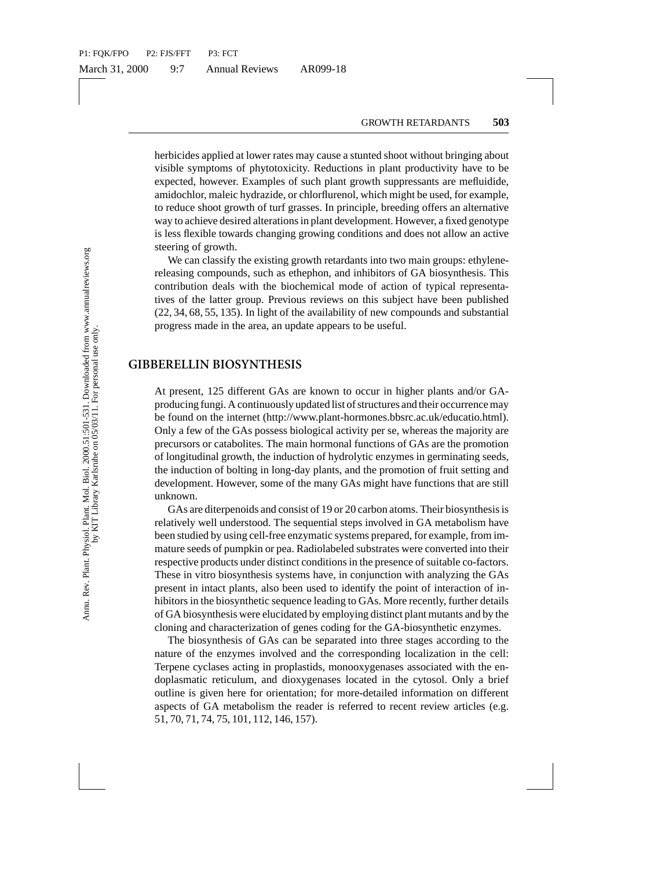herbicides applied at lower rates may cause a stunted shoot without bringing about visible symptoms of phytotoxicity. Reductions in plant productivity have to be expected, however. Examples of such plant growth suppressants are mefluidide, amidochlor, maleic hydrazide, or chlorflurenol, which might be used, for example, to reduce shoot growth of turf grasses. In principle, breeding offers an alternative way to achieve desired alterations in plant development. However, a fixed genotype is less flexible towards changing growing conditions and does not allow an active steering of growth.

We can classify the existing growth retardants into two main groups: ethylenereleasing compounds, such as ethephon, and inhibitors of GA biosynthesis. This contribution deals with the biochemical mode of action of typical representatives of the latter group. Previous reviews on this subject have been published (22, 34, 68, 55, 135). In light of the availability of new compounds and substantial progress made in the area, an update appears to be useful.

### **GIBBERELLIN BIOSYNTHESIS**

At present, 125 different GAs are known to occur in higher plants and/or GAproducing fungi. A continuously updated list of structures and their occurrence may be found on the internet (http://www.plant-hormones.bbsrc.ac.uk/educatio.html). Only a few of the GAs possess biological activity per se, whereas the majority are precursors or catabolites. The main hormonal functions of GAs are the promotion of longitudinal growth, the induction of hydrolytic enzymes in germinating seeds, the induction of bolting in long-day plants, and the promotion of fruit setting and development. However, some of the many GAs might have functions that are still unknown.

or, malec hydrazide, or chloriturenol, which might be us<br>or, shoot growth of turf grasses. In principle, breeding offelive<br>thieve desired alterations in plant development. However, withe townsto changing growing conditions GAs are diterpenoids and consist of 19 or 20 carbon atoms. Their biosynthesis is relatively well understood. The sequential steps involved in GA metabolism have been studied by using cell-free enzymatic systems prepared, for example, from immature seeds of pumpkin or pea. Radiolabeled substrates were converted into their respective products under distinct conditions in the presence of suitable co-factors. These in vitro biosynthesis systems have, in conjunction with analyzing the GAs present in intact plants, also been used to identify the point of interaction of inhibitors in the biosynthetic sequence leading to GAs. More recently, further details of GA biosynthesis were elucidated by employing distinct plant mutants and by the cloning and characterization of genes coding for the GA-biosynthetic enzymes.

The biosynthesis of GAs can be separated into three stages according to the nature of the enzymes involved and the corresponding localization in the cell: Terpene cyclases acting in proplastids, monooxygenases associated with the endoplasmatic reticulum, and dioxygenases located in the cytosol. Only a brief outline is given here for orientation; for more-detailed information on different aspects of GA metabolism the reader is referred to recent review articles (e.g. 51, 70, 71, 74, 75, 101, 112, 146, 157).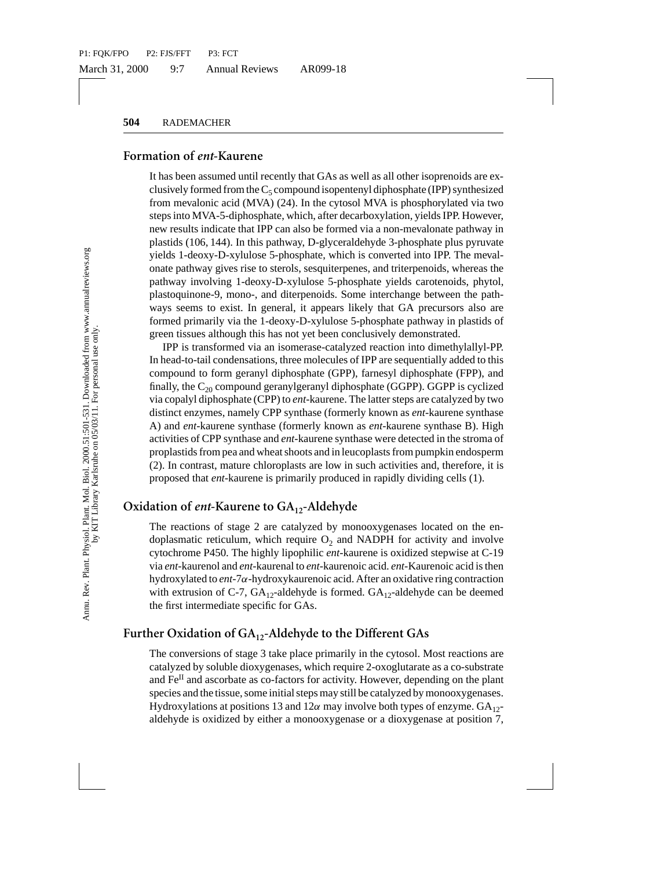#### **Formation of** *ent***-Kaurene**

onduonic action (MVA) (24). In the cytosol MVA is phospholonic acid (MVA) (24). In the cytosol MVA is phospholony wind is indicate that IPP can also be formed via a non-mevalor of 66, 144). In this pathway, D-glyceraldchy It has been assumed until recently that GAs as well as all other isoprenoids are exclusively formed from the  $C_5$  compound isopentenyl diphosphate (IPP) synthesized from mevalonic acid (MVA) (24). In the cytosol MVA is phosphorylated via two steps into MVA-5-diphosphate, which, after decarboxylation, yields IPP. However, new results indicate that IPP can also be formed via a non-mevalonate pathway in plastids (106, 144). In this pathway, D-glyceraldehyde 3-phosphate plus pyruvate yields 1-deoxy-D-xylulose 5-phosphate, which is converted into IPP. The mevalonate pathway gives rise to sterols, sesquiterpenes, and triterpenoids, whereas the pathway involving 1-deoxy-D-xylulose 5-phosphate yields carotenoids, phytol, plastoquinone-9, mono-, and diterpenoids. Some interchange between the pathways seems to exist. In general, it appears likely that GA precursors also are formed primarily via the 1-deoxy-D-xylulose 5-phosphate pathway in plastids of green tissues although this has not yet been conclusively demonstrated.

IPP is transformed via an isomerase-catalyzed reaction into dimethylallyl-PP. In head-to-tail condensations, three molecules of IPP are sequentially added to this compound to form geranyl diphosphate (GPP), farnesyl diphosphate (FPP), and finally, the  $C_{20}$  compound geranylgeranyl diphosphate (GGPP). GGPP is cyclized via copalyl diphosphate (CPP) to *ent*-kaurene. The latter steps are catalyzed by two distinct enzymes, namely CPP synthase (formerly known as *ent*-kaurene synthase A) and *ent*-kaurene synthase (formerly known as *ent*-kaurene synthase B). High activities of CPP synthase and *ent*-kaurene synthase were detected in the stroma of proplastids from pea and wheat shoots and in leucoplasts from pumpkin endosperm (2). In contrast, mature chloroplasts are low in such activities and, therefore, it is proposed that *ent*-kaurene is primarily produced in rapidly dividing cells (1).

## Oxidation of *ent*-Kaurene to GA<sub>12</sub>-Aldehyde

The reactions of stage 2 are catalyzed by monooxygenases located on the endoplasmatic reticulum, which require  $O<sub>2</sub>$  and NADPH for activity and involve cytochrome P450. The highly lipophilic *ent*-kaurene is oxidized stepwise at C-19 via *ent*-kaurenol and *ent*-kaurenal to *ent*-kaurenoic acid. *ent*-Kaurenoic acid is then hydroxylated to *ent*-7α-hydroxykaurenoic acid. After an oxidative ring contraction with extrusion of C-7,  $GA_{12}$ -aldehyde is formed.  $GA_{12}$ -aldehyde can be deemed the first intermediate specific for GAs.

## Further Oxidation of GA<sub>12</sub>-Aldehyde to the Different GAs

The conversions of stage 3 take place primarily in the cytosol. Most reactions are catalyzed by soluble dioxygenases, which require 2-oxoglutarate as a co-substrate and Fe<sup>II</sup> and ascorbate as co-factors for activity. However, depending on the plant species and the tissue, some initial steps may still be catalyzed by monooxygenases. Hydroxylations at positions 13 and 12 $\alpha$  may involve both types of enzyme.  $GA_{12}$ aldehyde is oxidized by either a monooxygenase or a dioxygenase at position 7,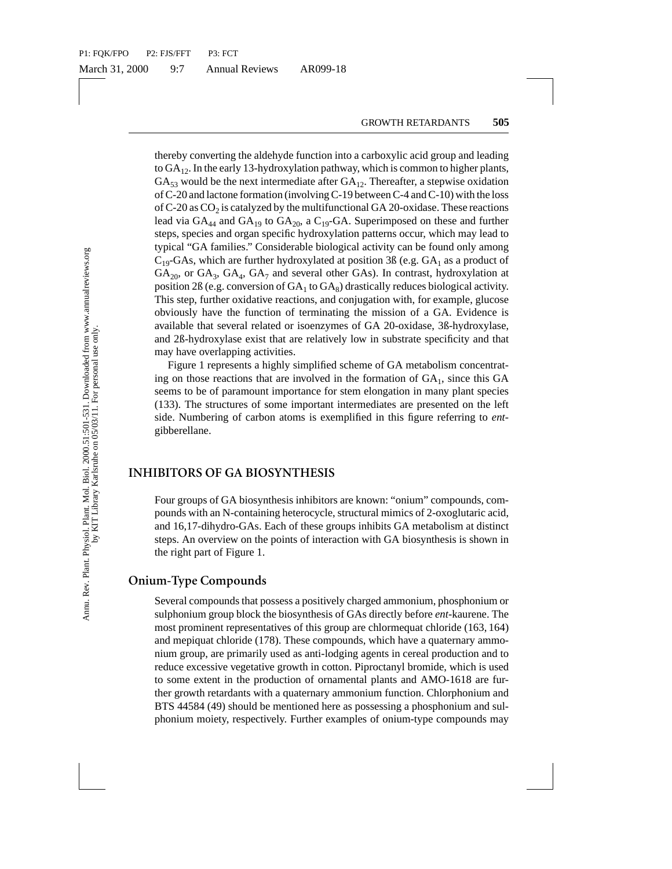dated core formation (involving C-19 between C-4 and C.<br>
SCO<sub>2</sub> is catalyzed by the multifunctional GA 20-oxidase<br>
GC<sub>2</sub> is catalyzed by the multifunctional GA 20-oxidase<br>
GA<sub>4</sub> and GA<sub>19</sub> to GA<sub>29</sub>, a C<sub>19</sub>-GA. Superimpo thereby converting the aldehyde function into a carboxylic acid group and leading to  $GA_{12}$ . In the early 13-hydroxylation pathway, which is common to higher plants,  $GA_{53}$  would be the next intermediate after  $GA_{12}$ . Thereafter, a stepwise oxidation of C-20 and lactone formation (involving C-19 between C-4 and C-10) with the loss of C-20 as  $CO<sub>2</sub>$  is catalyzed by the multifunctional GA 20-oxidase. These reactions lead via  $GA_{44}$  and  $GA_{19}$  to  $GA_{20}$ , a  $C_{19}$ -GA. Superimposed on these and further steps, species and organ specific hydroxylation patterns occur, which may lead to typical "GA families." Considerable biological activity can be found only among  $C_{19}$ -GAs, which are further hydroxylated at position 3B (e.g. GA<sub>1</sub> as a product of  $GA_{20}$ , or  $GA_3$ ,  $GA_4$ ,  $GA_7$  and several other GAs). In contrast, hydroxylation at position 2ß (e.g. conversion of  $GA_1$  to  $GA_8$ ) drastically reduces biological activity. This step, further oxidative reactions, and conjugation with, for example, glucose obviously have the function of terminating the mission of a GA. Evidence is available that several related or isoenzymes of GA 20-oxidase, 3ß-hydroxylase, and 2ß-hydroxylase exist that are relatively low in substrate specificity and that may have overlapping activities.

Figure 1 represents a highly simplified scheme of GA metabolism concentrating on those reactions that are involved in the formation of  $GA<sub>1</sub>$ , since this  $GA$ seems to be of paramount importance for stem elongation in many plant species (133). The structures of some important intermediates are presented on the left side. Numbering of carbon atoms is exemplified in this figure referring to *ent*gibberellane.

### **INHIBITORS OF GA BIOSYNTHESIS**

Four groups of GA biosynthesis inhibitors are known: "onium" compounds, compounds with an N-containing heterocycle, structural mimics of 2-oxoglutaric acid, and 16,17-dihydro-GAs. Each of these groups inhibits GA metabolism at distinct steps. An overview on the points of interaction with GA biosynthesis is shown in the right part of Figure 1.

## **Onium-Type Compounds**

Several compounds that possess a positively charged ammonium, phosphonium or sulphonium group block the biosynthesis of GAs directly before *ent*-kaurene. The most prominent representatives of this group are chlormequat chloride (163, 164) and mepiquat chloride (178). These compounds, which have a quaternary ammonium group, are primarily used as anti-lodging agents in cereal production and to reduce excessive vegetative growth in cotton. Piproctanyl bromide, which is used to some extent in the production of ornamental plants and AMO-1618 are further growth retardants with a quaternary ammonium function. Chlorphonium and BTS 44584 (49) should be mentioned here as possessing a phosphonium and sulphonium moiety, respectively. Further examples of onium-type compounds may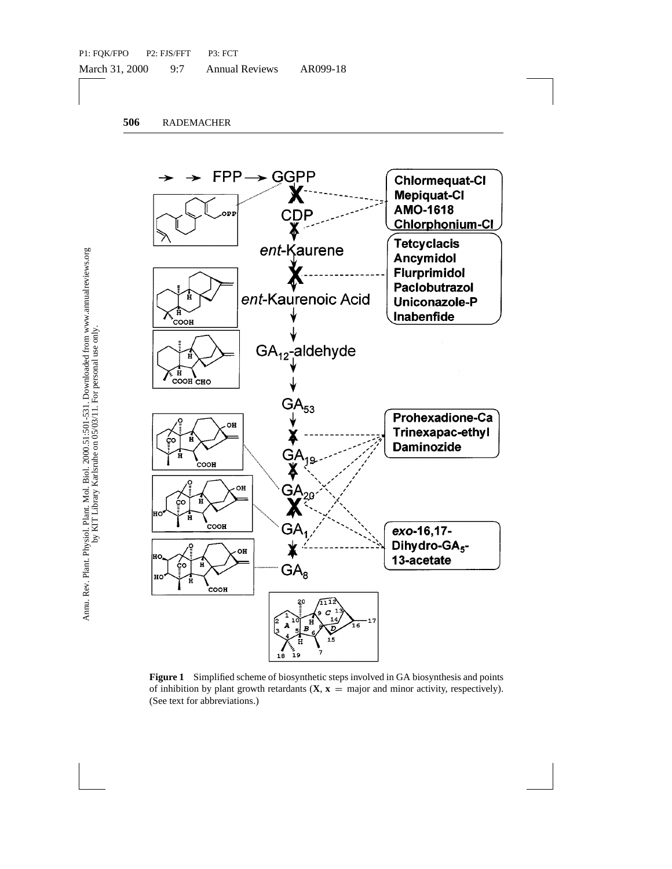

**Figure 1** Simplified scheme of biosynthetic steps involved in GA biosynthesis and points of inhibition by plant growth retardants  $(X, x = \text{major and minor activity, respectively})$ . (See text for abbreviations.)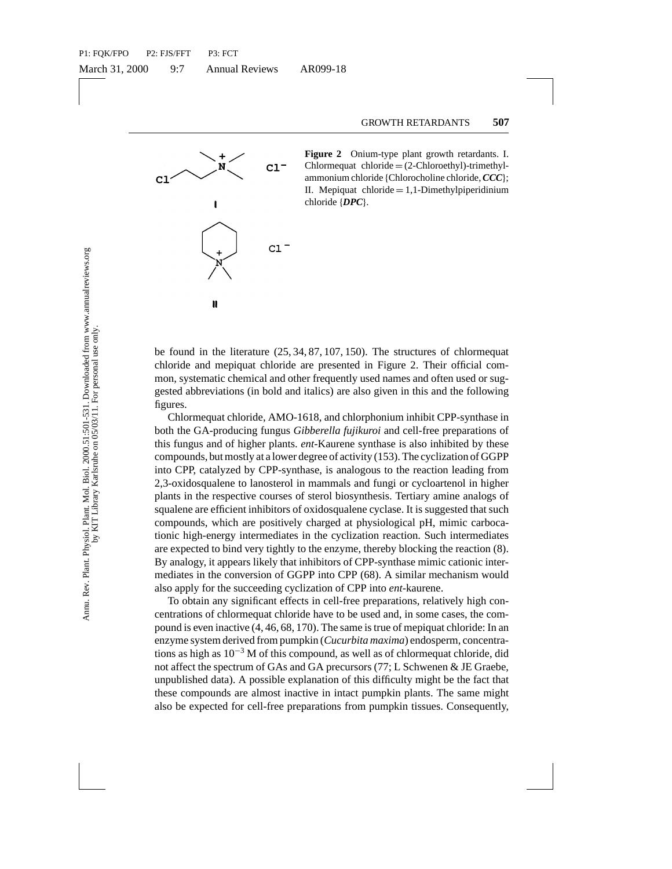

**Figure 2** Onium-type plant growth retardants. I.  $Chlormequat$  chloride  $=(2-Chloroethyl)-trimethyl$ ammonium chloride {Chlorocholine chloride,*CCC*}; II. Mepiquat chloride  $= 1.1$ -Dimethylpiperidinium chloride {*DPC*}.

be found in the literature (25, 34, 87, 107, 150). The structures of chlormequat chloride and mepiquat chloride are presented in Figure 2. Their official common, systematic chemical and other frequently used names and often used or suggested abbreviations (in bold and italics) are also given in this and the following figures.

? Chlormequat chloride, AMO-1618, and chlorphonium inhibit CPP-synthase in both the GA-producing fungus *Gibberella fujikuroi* and cell-free preparations of this fungus and of higher plants. *ent*-Kaurene synthase is also inhibited by these compounds, but mostly at a lower degree of activity (153). The cyclization of GGPP into CPP, catalyzed by CPP-synthase, is analogous to the reaction leading from 2,3-oxidosqualene to lanosterol in mammals and fungi or cycloartenol in higher plants in the respective courses of sterol biosynthesis. Tertiary amine analogs of squalene are efficient inhibitors of oxidosqualene cyclase. It is suggested that such compounds, which are positively charged at physiological pH, mimic carbocationic high-energy intermediates in the cyclization reaction. Such intermediates are expected to bind very tightly to the enzyme, thereby blocking the reaction (8). By analogy, it appears likely that inhibitors of CPP-synthase mimic cationic intermediates in the conversion of GGPP into CPP (68). A similar mechanism would also apply for the succeeding cyclization of CPP into *ent*-kaurene.

To obtain any significant effects in cell-free preparations, relatively high concentrations of chlormequat chloride have to be used and, in some cases, the compound is even inactive (4, 46, 68, 170). The same is true of mepiquat chloride: In an enzyme system derived from pumpkin (*Cucurbita maxima*) endosperm, concentrations as high as  $10^{-3}$  M of this compound, as well as of chlormequat chloride, did not affect the spectrum of GAs and GA precursors (77; L Schwenen & JE Graebe, unpublished data). A possible explanation of this difficulty might be the fact that these compounds are almost inactive in intact pumpkin plants. The same might also be expected for cell-free preparations from pumpkin tissues. Consequently,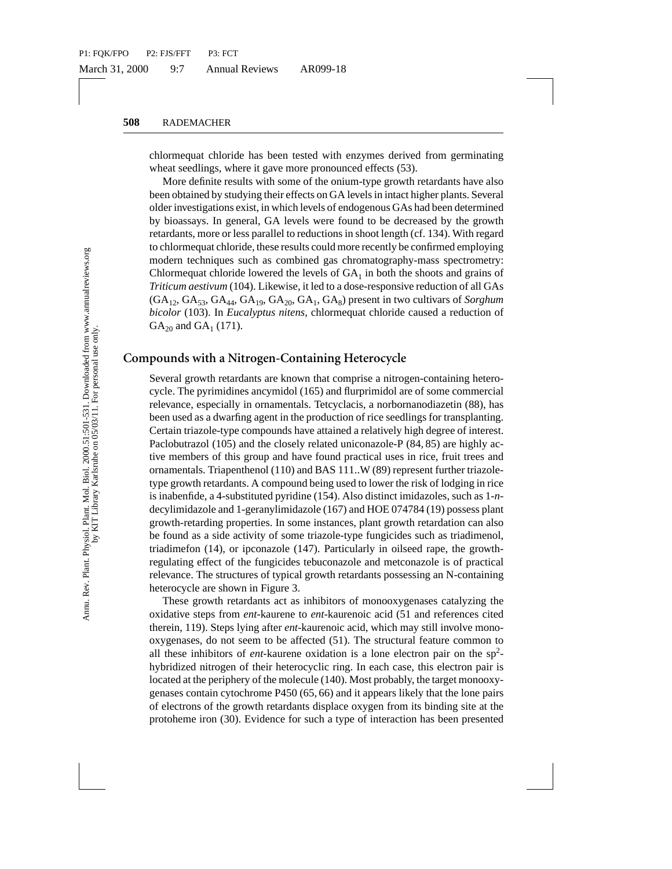chlormequat chloride has been tested with enzymes derived from germinating wheat seedlings, where it gave more pronounced effects (53).

More definite results with some of the onium-type growth retardants have also been obtained by studying their effects on GA levels in intact higher plants. Several older investigations exist, in which levels of endogenous GAs had been determined by bioassays. In general, GA levels were found to be decreased by the growth retardants, more or less parallel to reductions in shoot length (cf. 134). With regard to chlormequat chloride, these results could more recently be confirmed employing modern techniques such as combined gas chromatography-mass spectrometry: Chlormequat chloride lowered the levels of  $GA<sub>1</sub>$  in both the shoots and grains of *Triticum aestivum* (104). Likewise, it led to a dose-responsive reduction of all GAs  $(GA<sub>12</sub>, GA<sub>53</sub>, GA<sub>44</sub>, GA<sub>19</sub>, GA<sub>20</sub>, GA<sub>1</sub>, GA<sub>8</sub>)$  present in two cultivars of *Sorghum bicolor* (103). In *Eucalyptus nitens*, chlormequat chloride caused a reduction of  $GA_{20}$  and  $GA_1$  (171).

## **Compounds with a Nitrogen-Containing Heterocycle**

ned by studying their effects on GA levels in intact lighter<br>atigations exist, in which levels of endogenous GAs had bys. In general, GA levels were found to be decreased<br>progressions in shock levels were found to be decr Several growth retardants are known that comprise a nitrogen-containing heterocycle. The pyrimidines ancymidol (165) and flurprimidol are of some commercial relevance, especially in ornamentals. Tetcyclacis, a norbornanodiazetin (88), has been used as a dwarfing agent in the production of rice seedlings for transplanting. Certain triazole-type compounds have attained a relatively high degree of interest. Paclobutrazol (105) and the closely related uniconazole-P (84, 85) are highly active members of this group and have found practical uses in rice, fruit trees and ornamentals. Triapenthenol (110) and BAS 111..W (89) represent further triazoletype growth retardants. A compound being used to lower the risk of lodging in rice is inabenfide, a 4-substituted pyridine (154). Also distinct imidazoles, such as 1-*n*decylimidazole and 1-geranylimidazole (167) and HOE 074784 (19) possess plant growth-retarding properties. In some instances, plant growth retardation can also be found as a side activity of some triazole-type fungicides such as triadimenol, triadimefon (14), or ipconazole (147). Particularly in oilseed rape, the growthregulating effect of the fungicides tebuconazole and metconazole is of practical relevance. The structures of typical growth retardants possessing an N-containing heterocycle are shown in Figure 3.

These growth retardants act as inhibitors of monooxygenases catalyzing the oxidative steps from *ent*-kaurene to *ent*-kaurenoic acid (51 and references cited therein, 119). Steps lying after *ent*-kaurenoic acid, which may still involve monooxygenases, do not seem to be affected (51). The structural feature common to all these inhibitors of *ent*-kaurene oxidation is a lone electron pair on the sp<sup>2</sup>hybridized nitrogen of their heterocyclic ring. In each case, this electron pair is located at the periphery of the molecule (140). Most probably, the target monooxygenases contain cytochrome P450 (65, 66) and it appears likely that the lone pairs of electrons of the growth retardants displace oxygen from its binding site at the protoheme iron (30). Evidence for such a type of interaction has been presented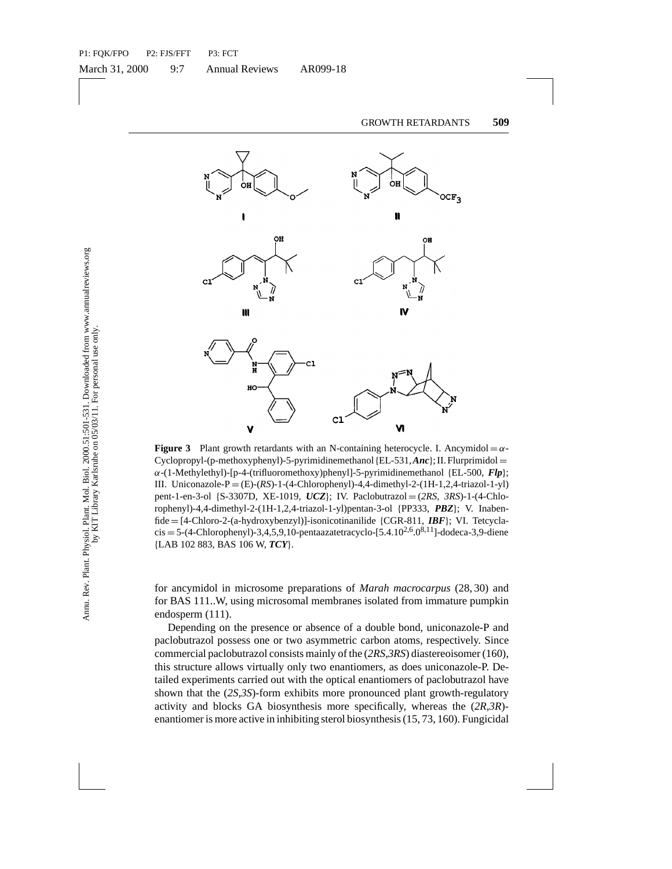

**Figure 3** Plant growth retardants with an N-containing heterocycle. I. Ancymidol  $=\alpha$ -Cyclopropyl-(p-methoxyphenyl)-5-pyrimidinemethanol{EL-531,*Anc*}; II. Flurprimidol = α-(1-Methylethyl)-[p-4-(trifluoromethoxy)phenyl]-5-pyrimidinemethanol {EL-500, *Flp*}; III. Uniconazole- $P = (E)$ - $(RS)$ -1- $(4$ -Chlorophenyl)-4,4-dimethyl-2- $(1H-1,2,4$ -triazol-1-yl) pent-1-en-3-ol {S-3307D, XE-1019, *UCZ*}; IV. Paclobutrazol = (*2RS*, *3RS*)-1-(4-Chlorophenyl)-4,4-dimethyl-2-(1H-1,2,4-triazol-1-yl)pentan-3-ol {PP333, *PBZ*}; V. Inabenfide = [4-Chloro-2-(a-hydroxybenzyl)]-isonicotinanilide {CGR-811, *IBF*}; VI. Tetcycla $cis = 5-(4-\text{Chlorophenyl})-3,4,5,9,10-\text{pentaazatetracyclo} - [5.4,10^{2,6},0^{8,11}]$ -dodeca-3,9-diene {LAB 102 883, BAS 106 W, *TCY*}.

for ancymidol in microsome preparations of *Marah macrocarpus* (28, 30) and for BAS 111..W, using microsomal membranes isolated from immature pumpkin endosperm (111).

Depending on the presence or absence of a double bond, uniconazole-P and paclobutrazol possess one or two asymmetric carbon atoms, respectively. Since commercial paclobutrazol consists mainly of the (*2RS*,*3RS*) diastereoisomer (160), this structure allows virtually only two enantiomers, as does uniconazole-P. Detailed experiments carried out with the optical enantiomers of paclobutrazol have shown that the (*2S*,*3S*)-form exhibits more pronounced plant growth-regulatory activity and blocks GA biosynthesis more specifically, whereas the (*2R*,*3R*) enantiomer is more active in inhibiting sterol biosynthesis (15, 73, 160). Fungicidal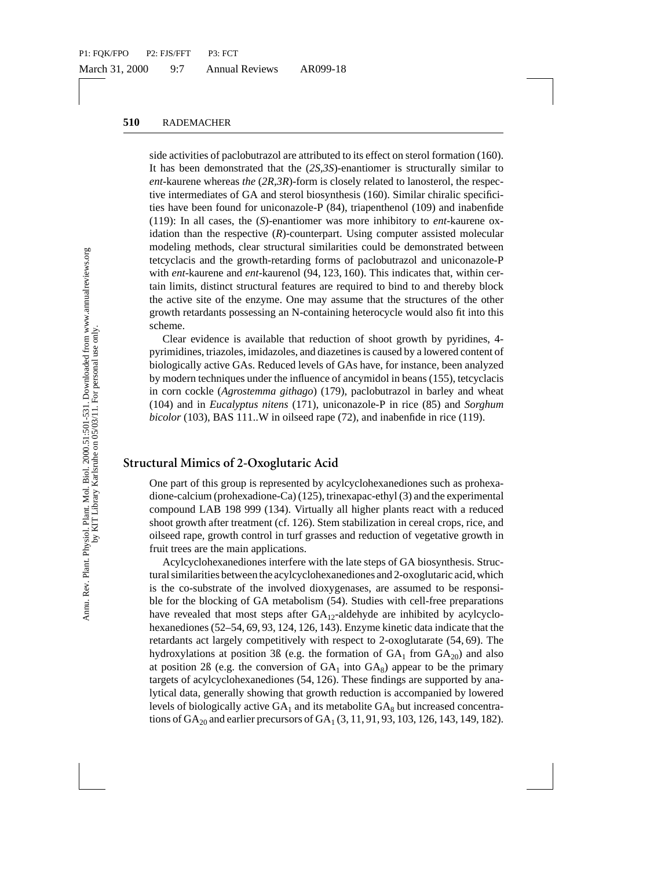side activities of paclobutrazol are attributed to its effect on sterol formation (160). It has been demonstrated that the (*2S,3S*)-enantiomer is structurally similar to *ent*-kaurene whereas *the* (*2R*,*3R*)-form is closely related to lanosterol, the respective intermediates of GA and sterol biosynthesis (160). Similar chiralic specificities have been found for uniconazole-P (84), triapenthenol (109) and inabenfide (119): In all cases, the (*S*)-enantiomer was more inhibitory to *ent*-kaurene oxidation than the respective (*R*)-counterpart. Using computer assisted molecular modeling methods, clear structural similarities could be demonstrated between tetcyclacis and the growth-retarding forms of paclobutrazol and uniconazole-P with *ent*-kaurene and *ent*-kaurenol (94, 123, 160). This indicates that, within certain limits, distinct structural features are required to bind to and thereby block the active site of the enzyme. One may assume that the structures of the other growth retardants possessing an N-containing heterocycle would also fit into this scheme.

Clear evidence is available that reduction of shoot growth by pyridines, 4 pyrimidines, triazoles, imidazoles, and diazetines is caused by a lowered content of biologically active GAs. Reduced levels of GAs have, for instance, been analyzed by modern techniques under the influence of ancymidol in beans (155), tetcyclacis in corn cockle (*Agrostemma githago*) (179), paclobutrazol in barley and wheat (104) and in *Eucalyptus nitens* (171), uniconazole-P in rice (85) and *Sorghum bicolor* (103), BAS 111..W in oilseed rape (72), and inabenfide in rice (119).

## **Structural Mimics of 2-Oxoglutaric Acid**

One part of this group is represented by acylcyclohexanediones such as prohexadione-calcium (prohexadione-Ca) (125), trinexapac-ethyl (3) and the experimental compound LAB 198 999 (134). Virtually all higher plants react with a reduced shoot growth after treatment (cf. 126). Stem stabilization in cereal crops, rice, and oilseed rape, growth control in turf grasses and reduction of vegetative growth in fruit trees are the main applications.

declates of GA and sterol biosynthesis (160). Simular checking and<br>een found for uniconazole-P (84), triapenthenol (109)<br>all cases, the (S)-enantiomer was more inhibitory to e<br>nul acses, the (S)-enantiomer was more inhibi Acylcyclohexanediones interfere with the late steps of GA biosynthesis. Structural similarities between the acylcyclohexanediones and 2-oxoglutaric acid, which is the co-substrate of the involved dioxygenases, are assumed to be responsible for the blocking of GA metabolism (54). Studies with cell-free preparations have revealed that most steps after  $GA_{12}$ -aldehyde are inhibited by acylcyclohexanediones (52–54, 69, 93, 124, 126, 143). Enzyme kinetic data indicate that the retardants act largely competitively with respect to 2-oxoglutarate (54, 69). The hydroxylations at position 3ß (e.g. the formation of  $GA_1$  from  $GA_{20}$ ) and also at position 2ß (e.g. the conversion of  $GA_1$  into  $GA_8$ ) appear to be the primary targets of acylcyclohexanediones (54, 126). These findings are supported by analytical data, generally showing that growth reduction is accompanied by lowered levels of biologically active  $GA_1$  and its metabolite  $GA_8$  but increased concentrations of  $GA_{20}$  and earlier precursors of  $GA_1 (3, 11, 91, 93, 103, 126, 143, 149, 182)$ .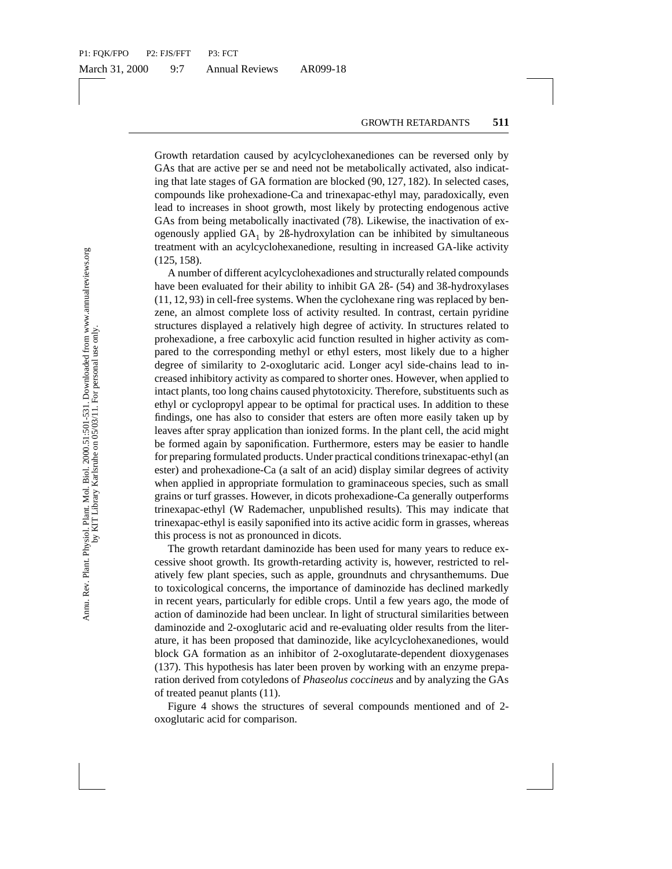Growth retardation caused by acylcyclohexanediones can be reversed only by GAs that are active per se and need not be metabolically activated, also indicating that late stages of GA formation are blocked (90, 127, 182). In selected cases, compounds like prohexadione-Ca and trinexapac-ethyl may, paradoxically, even lead to increases in shoot growth, most likely by protecting endogenous active GAs from being metabolically inactivated (78). Likewise, the inactivation of exogenously applied  $GA_1$  by 2 $B$ -hydroxylation can be inhibited by simultaneous treatment with an acylcyclohexanedione, resulting in increased GA-like activity (125, 158).

ds like proheadono-Ca and trinexapac-ethyl may, partical<br>screases in shoot growth, most likely by protecting en<br>orcreases in shoot growth, most likely by protecting en<br>a being metabolically inactivated (78). Likewise, the A number of different acylcyclohexadiones and structurally related compounds have been evaluated for their ability to inhibit GA 2ß- (54) and 3ß-hydroxylases (11, 12, 93) in cell-free systems. When the cyclohexane ring was replaced by benzene, an almost complete loss of activity resulted. In contrast, certain pyridine structures displayed a relatively high degree of activity. In structures related to prohexadione, a free carboxylic acid function resulted in higher activity as compared to the corresponding methyl or ethyl esters, most likely due to a higher degree of similarity to 2-oxoglutaric acid. Longer acyl side-chains lead to increased inhibitory activity as compared to shorter ones. However, when applied to intact plants, too long chains caused phytotoxicity. Therefore, substituents such as ethyl or cyclopropyl appear to be optimal for practical uses. In addition to these findings, one has also to consider that esters are often more easily taken up by leaves after spray application than ionized forms. In the plant cell, the acid might be formed again by saponification. Furthermore, esters may be easier to handle for preparing formulated products. Under practical conditions trinexapac-ethyl (an ester) and prohexadione-Ca (a salt of an acid) display similar degrees of activity when applied in appropriate formulation to graminaceous species, such as small grains or turf grasses. However, in dicots prohexadione-Ca generally outperforms trinexapac-ethyl (W Rademacher, unpublished results). This may indicate that trinexapac-ethyl is easily saponified into its active acidic form in grasses, whereas this process is not as pronounced in dicots.

The growth retardant daminozide has been used for many years to reduce excessive shoot growth. Its growth-retarding activity is, however, restricted to relatively few plant species, such as apple, groundnuts and chrysanthemums. Due to toxicological concerns, the importance of daminozide has declined markedly in recent years, particularly for edible crops. Until a few years ago, the mode of action of daminozide had been unclear. In light of structural similarities between daminozide and 2-oxoglutaric acid and re-evaluating older results from the literature, it has been proposed that daminozide, like acylcyclohexanediones, would block GA formation as an inhibitor of 2-oxoglutarate-dependent dioxygenases (137). This hypothesis has later been proven by working with an enzyme preparation derived from cotyledons of *Phaseolus coccineus* and by analyzing the GAs of treated peanut plants (11).

Figure 4 shows the structures of several compounds mentioned and of 2 oxoglutaric acid for comparison.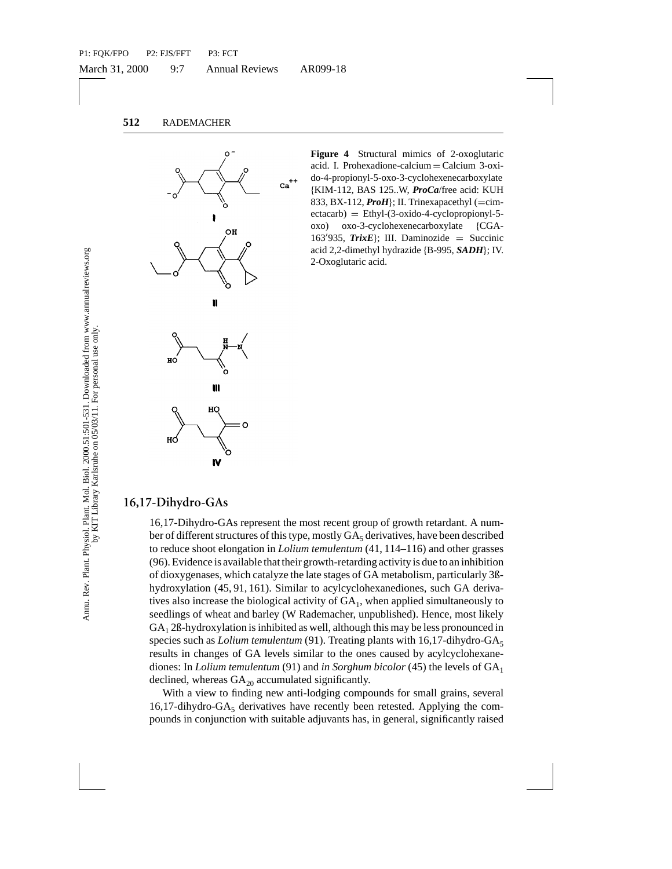

**Figure 4** Structural mimics of 2-oxoglutaric acid. I. Prohexadione-calcium = Calcium 3-oxido-4-propionyl-5-oxo-3-cyclohexenecarboxylate {KIM-112, BAS 125..W, *ProCa*/free acid: KUH 833, BX-112,  $\text{ProH}$ ; II. Trinexapacethyl (=cim- $\text{etca}$ <sup>1</sup> = Ethyl-(3-oxido-4-cyclopropionyl-5oxo) oxo-3-cyclohexenecarboxylate {CGA-163'935, *TrixE*}; III. Daminozide = Succinic acid 2,2-dimethyl hydrazide {B-995, *SADH*}; IV. 2-Oxoglutaric acid.

### **16,17-Dihydro-GAs**

From the total strength of the set of the set of the set of the conduction of the conduction of the set of the set of the set of the set of the set of the set of the set of the set of the set of the set of the set of the 16,17-Dihydro-GAs represent the most recent group of growth retardant. A number of different structures of this type, mostly  $GA<sub>5</sub>$  derivatives, have been described to reduce shoot elongation in *Lolium temulentum* (41, 114–116) and other grasses (96). Evidence is available that their growth-retarding activity is due to an inhibition of dioxygenases, which catalyze the late stages of GA metabolism, particularly 3ßhydroxylation (45, 91, 161). Similar to acylcyclohexanediones, such GA derivatives also increase the biological activity of  $GA<sub>1</sub>$ , when applied simultaneously to seedlings of wheat and barley (W Rademacher, unpublished). Hence, most likely  $GA<sub>1</sub>$  2ß-hydroxylation is inhibited as well, although this may be less pronounced in species such as *Lolium temulentum* (91). Treating plants with 16,17-dihydro-GA<sub>5</sub> results in changes of GA levels similar to the ones caused by acylcyclohexanediones: In *Lolium temulentum* (91) and *in Sorghum bicolor* (45) the levels of GA1 declined, whereas  $GA_{20}$  accumulated significantly.

With a view to finding new anti-lodging compounds for small grains, several 16,17-dihydro-GA<sub>5</sub> derivatives have recently been retested. Applying the compounds in conjunction with suitable adjuvants has, in general, significantly raised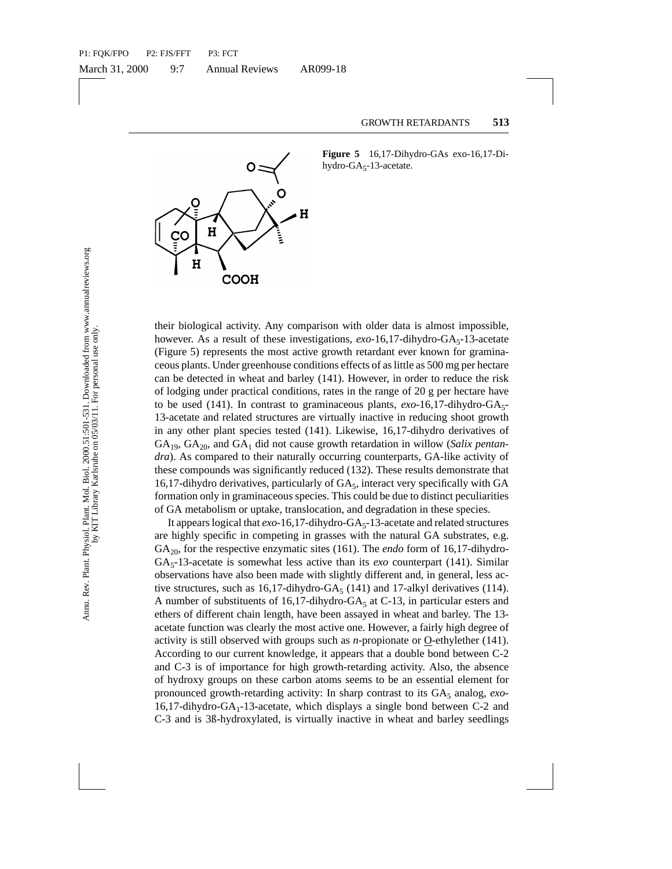

**Figure 5** 16,17-Dihydro-GAs exo-16,17-Dihydro-GA $5$ -13-acetate.

their biological activity. Any comparison with older data is almost impossible, however. As a result of these investigations,  $exo-16,17$ -dihydro- $GA<sub>5</sub>-13$ -acetate (Figure 5) represents the most active growth retardant ever known for graminaceous plants. Under greenhouse conditions effects of as little as 500 mg per hectare can be detected in wheat and barley (141). However, in order to reduce the risk of lodging under practical conditions, rates in the range of 20 g per hectare have to be used (141). In contrast to graminaceous plants,  $exo-16,17$ -dihydro- $GA_5$ -13-acetate and related structures are virtually inactive in reducing shoot growth in any other plant species tested (141). Likewise, 16,17-dihydro derivatives of GA<sub>19</sub>, GA<sub>20</sub>, and GA<sub>1</sub> did not cause growth retardation in willow (*Salix pentandra*). As compared to their naturally occurring counterparts, GA-like activity of these compounds was significantly reduced (132). These results demonstrate that 16,17-dihydro derivatives, particularly of  $GA<sub>5</sub>$ , interact very specifically with GA formation only in graminaceous species. This could be due to distinct peculiarities of GA metabolism or uptake, translocation, and degradation in these species.

**EVALUATIVE THE SET AS A CONSTANT CORRELATED (SOCIAL SET AND A SO algo that and As a result of these investigations,** *exo***-16,17-dihydro) represents the most active growth retardation error knotic there are interested in** It appears logical that  $exo-16,17$ -dihydro-GA<sub>5</sub>-13-acetate and related structures are highly specific in competing in grasses with the natural GA substrates, e.g.  $GA<sub>20</sub>$ , for the respective enzymatic sites (161). The *endo* form of 16,17-dihydro-GA<sub>5</sub>-13-acetate is somewhat less active than its *exo* counterpart (141). Similar observations have also been made with slightly different and, in general, less active structures, such as 16,17-dihydro-GA<sub>5</sub> (141) and 17-alkyl derivatives (114). A number of substituents of 16,17-dihydro-GA $_5$  at C-13, in particular esters and ethers of different chain length, have been assayed in wheat and barley. The 13 acetate function was clearly the most active one. However, a fairly high degree of activity is still observed with groups such as *n*-propionate or O-ethylether (141). According to our current knowledge, it appears that a double bond between C-2 and C-3 is of importance for high growth-retarding activity. Also, the absence of hydroxy groups on these carbon atoms seems to be an essential element for pronounced growth-retarding activity: In sharp contrast to its GA<sub>5</sub> analog, *exo*- $16,17$ -dihydro-GA<sub>1</sub>-13-acetate, which displays a single bond between C-2 and C-3 and is 3ß-hydroxylated, is virtually inactive in wheat and barley seedlings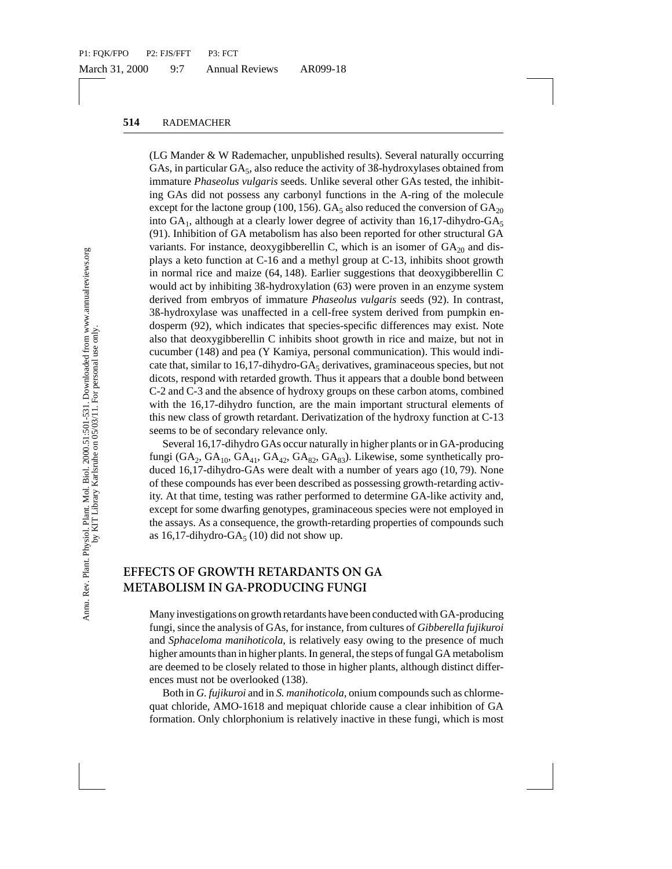did not possess any carbony functions in the A-ring chide<br>the lactone group (100, 156). GA<sub>5</sub> also reduced the com<br>although at a clearly lower degree of activity than 16,1<br>dition of GA metabolism has also been reported fo (LG Mander & W Rademacher, unpublished results). Several naturally occurring GAs, in particular GA<sub>5</sub>, also reduce the activity of 3ß-hydroxylases obtained from immature *Phaseolus vulgaris* seeds. Unlike several other GAs tested, the inhibiting GAs did not possess any carbonyl functions in the A-ring of the molecule except for the lactone group (100, 156). GA<sub>5</sub> also reduced the conversion of  $GA_{20}$ into  $GA_1$ , although at a clearly lower degree of activity than 16,17-dihydro- $GA_5$ (91). Inhibition of GA metabolism has also been reported for other structural GA variants. For instance, deoxygibberellin C, which is an isomer of  $GA_{20}$  and displays a keto function at C-16 and a methyl group at C-13, inhibits shoot growth in normal rice and maize (64, 148). Earlier suggestions that deoxygibberellin C would act by inhibiting 3ß-hydroxylation (63) were proven in an enzyme system derived from embryos of immature *Phaseolus vulgaris* seeds (92). In contrast, 3ß-hydroxylase was unaffected in a cell-free system derived from pumpkin endosperm (92), which indicates that species-specific differences may exist. Note also that deoxygibberellin C inhibits shoot growth in rice and maize, but not in cucumber (148) and pea (Y Kamiya, personal communication). This would indicate that, similar to  $16,17$ -dihydro-GA<sub>5</sub> derivatives, graminaceous species, but not dicots, respond with retarded growth. Thus it appears that a double bond between C-2 and C-3 and the absence of hydroxy groups on these carbon atoms, combined with the 16,17-dihydro function, are the main important structural elements of this new class of growth retardant. Derivatization of the hydroxy function at C-13 seems to be of secondary relevance only.

Several 16,17-dihydro GAs occur naturally in higher plants or in GA-producing fungi (GA<sub>2</sub>, GA<sub>10</sub>, GA<sub>41</sub>, GA<sub>42</sub>, GA<sub>82</sub>, GA<sub>83</sub>). Likewise, some synthetically produced 16,17-dihydro-GAs were dealt with a number of years ago (10, 79). None of these compounds has ever been described as possessing growth-retarding activity. At that time, testing was rather performed to determine GA-like activity and, except for some dwarfing genotypes, graminaceous species were not employed in the assays. As a consequence, the growth-retarding properties of compounds such as 16,17-dihydro-GA $_5$  (10) did not show up.

## **EFFECTS OF GROWTH RETARDANTS ON GA METABOLISM IN GA-PRODUCING FUNGI**

Many investigations on growth retardants have been conducted with GA-producing fungi, since the analysis of GAs, for instance, from cultures of *Gibberella fujikuroi* and *Sphaceloma manihoticola*, is relatively easy owing to the presence of much higher amounts than in higher plants. In general, the steps of fungal GA metabolism are deemed to be closely related to those in higher plants, although distinct differences must not be overlooked (138).

Both in *G. fujikuroi* and in *S. manihoticola*, onium compounds such as chlormequat chloride, AMO-1618 and mepiquat chloride cause a clear inhibition of GA formation. Only chlorphonium is relatively inactive in these fungi, which is most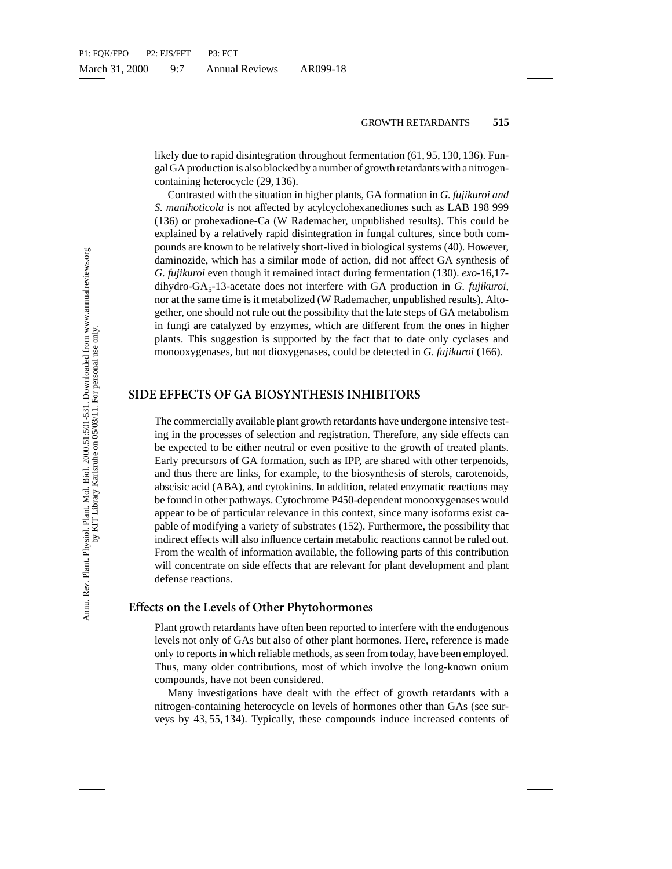likely due to rapid disintegration throughout fermentation (61, 95, 130, 136). Fungal GA production is also blocked by a number of growth retardants with a nitrogencontaining heterocycle (29, 136).

Contrasted with the situation in higher plants, GA formation in *G. fujikuroi and S. manihoticola* is not affected by acylcyclohexanediones such as LAB 198 999 (136) or prohexadione-Ca (W Rademacher, unpublished results). This could be explained by a relatively rapid disintegration in fungal cultures, since both compounds are known to be relatively short-lived in biological systems (40). However, daminozide, which has a similar mode of action, did not affect GA synthesis of *G. fujikuroi* even though it remained intact during fermentation (130). *exo*-16,17 dihydro-GA5-13-acetate does not interfere with GA production in *G. fujikuroi*, nor at the same time is it metabolized (W Rademacher, unpublished results). Altogether, one should not rule out the possibility that the late steps of GA metabolism in fungi are catalyzed by enzymes, which are different from the ones in higher plants. This suggestion is supported by the fact that to date only cyclases and monooxygenases, but not dioxygenases, could be detected in *G. fujikuroi* (166).

#### **SIDE EFFECTS OF GA BIOSYNTHESIS INHIBITORS**

sted with the situation in higher pilants, GA formation in<br>toricola is not affected by acyleyclobexanediones such aprohexandione-Ca (W Rademacher, unpublished results<br>by a relatively rapid disintegration in funga cultures, The commercially available plant growth retardants have undergone intensive testing in the processes of selection and registration. Therefore, any side effects can be expected to be either neutral or even positive to the growth of treated plants. Early precursors of GA formation, such as IPP, are shared with other terpenoids, and thus there are links, for example, to the biosynthesis of sterols, carotenoids, abscisic acid (ABA), and cytokinins. In addition, related enzymatic reactions may be found in other pathways. Cytochrome P450-dependent monooxygenases would appear to be of particular relevance in this context, since many isoforms exist capable of modifying a variety of substrates (152). Furthermore, the possibility that indirect effects will also influence certain metabolic reactions cannot be ruled out. From the wealth of information available, the following parts of this contribution will concentrate on side effects that are relevant for plant development and plant defense reactions.

### **Effects on the Levels of Other Phytohormones**

Plant growth retardants have often been reported to interfere with the endogenous levels not only of GAs but also of other plant hormones. Here, reference is made only to reports in which reliable methods, as seen from today, have been employed. Thus, many older contributions, most of which involve the long-known onium compounds, have not been considered.

Many investigations have dealt with the effect of growth retardants with a nitrogen-containing heterocycle on levels of hormones other than GAs (see surveys by 43, 55, 134). Typically, these compounds induce increased contents of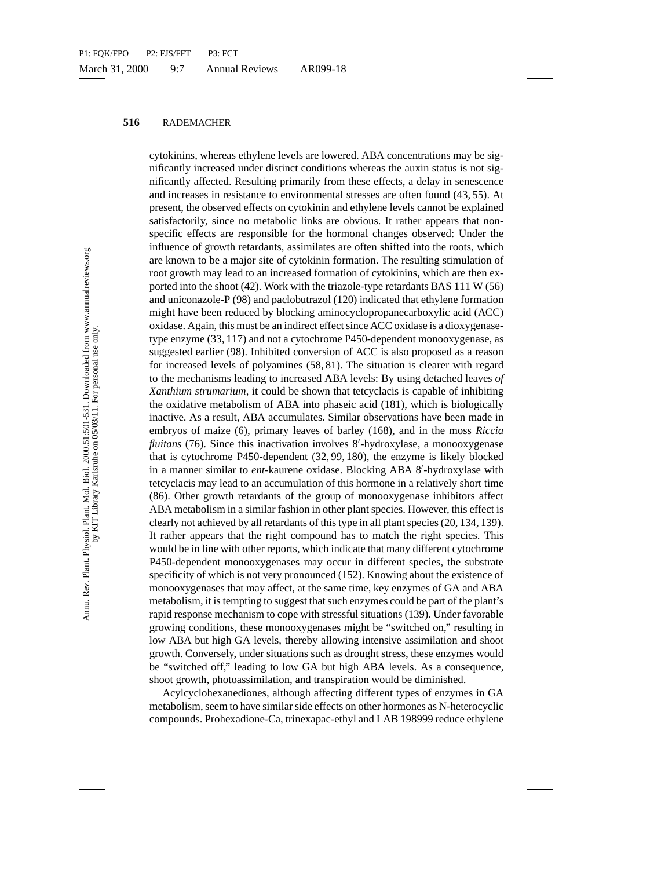ses in resistance to environmental stresses are often foot<br>so e observed effects on cytokinin and ethylene levels cannity, since no metabolic links are obvious. It rather apply, since no metabolic links are obvious. It rat cytokinins, whereas ethylene levels are lowered. ABA concentrations may be significantly increased under distinct conditions whereas the auxin status is not significantly affected. Resulting primarily from these effects, a delay in senescence and increases in resistance to environmental stresses are often found (43, 55). At present, the observed effects on cytokinin and ethylene levels cannot be explained satisfactorily, since no metabolic links are obvious. It rather appears that nonspecific effects are responsible for the hormonal changes observed: Under the influence of growth retardants, assimilates are often shifted into the roots, which are known to be a major site of cytokinin formation. The resulting stimulation of root growth may lead to an increased formation of cytokinins, which are then exported into the shoot (42). Work with the triazole-type retardants BAS 111 W (56) and uniconazole-P (98) and paclobutrazol (120) indicated that ethylene formation might have been reduced by blocking aminocyclopropanecarboxylic acid (ACC) oxidase. Again, this must be an indirect effect since ACC oxidase is a dioxygenasetype enzyme (33, 117) and not a cytochrome P450-dependent monooxygenase, as suggested earlier (98). Inhibited conversion of ACC is also proposed as a reason for increased levels of polyamines (58, 81). The situation is clearer with regard to the mechanisms leading to increased ABA levels: By using detached leaves *of Xanthium strumarium*, it could be shown that tetcyclacis is capable of inhibiting the oxidative metabolism of ABA into phaseic acid (181), which is biologically inactive. As a result, ABA accumulates. Similar observations have been made in embryos of maize (6), primary leaves of barley (168), and in the moss *Riccia* fluitans (76). Since this inactivation involves 8'-hydroxylase, a monooxygenase that is cytochrome P450-dependent (32, 99, 180), the enzyme is likely blocked in a manner similar to ent-kaurene oxidase. Blocking ABA 8'-hydroxylase with tetcyclacis may lead to an accumulation of this hormone in a relatively short time (86). Other growth retardants of the group of monooxygenase inhibitors affect ABA metabolism in a similar fashion in other plant species. However, this effect is clearly not achieved by all retardants of this type in all plant species (20, 134, 139). It rather appears that the right compound has to match the right species. This would be in line with other reports, which indicate that many different cytochrome P450-dependent monooxygenases may occur in different species, the substrate specificity of which is not very pronounced (152). Knowing about the existence of monooxygenases that may affect, at the same time, key enzymes of GA and ABA metabolism, it is tempting to suggest that such enzymes could be part of the plant's rapid response mechanism to cope with stressful situations (139). Under favorable growing conditions, these monooxygenases might be "switched on," resulting in low ABA but high GA levels, thereby allowing intensive assimilation and shoot growth. Conversely, under situations such as drought stress, these enzymes would be "switched off," leading to low GA but high ABA levels. As a consequence, shoot growth, photoassimilation, and transpiration would be diminished.

Acylcyclohexanediones, although affecting different types of enzymes in GA metabolism, seem to have similar side effects on other hormones as N-heterocyclic compounds. Prohexadione-Ca, trinexapac-ethyl and LAB 198999 reduce ethylene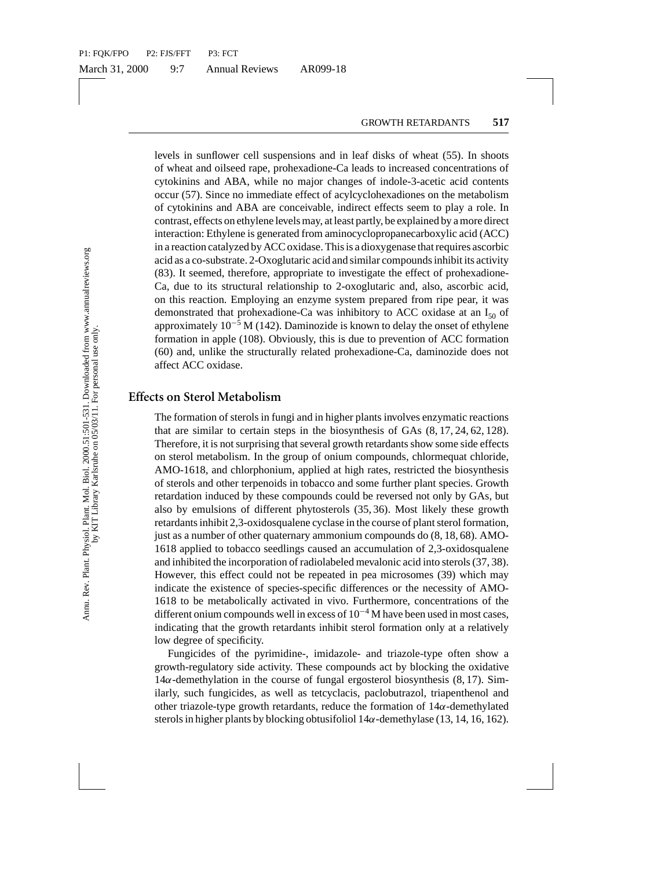levels in sunflower cell suspensions and in leaf disks of wheat (55). In shoots of wheat and oilseed rape, prohexadione-Ca leads to increased concentrations of cytokinins and ABA, while no major changes of indole-3-acetic acid contents occur (57). Since no immediate effect of acylcyclohexadiones on the metabolism of cytokinins and ABA are conceivable, indirect effects seem to play a role. In contrast, effects on ethylene levels may, at least partly, be explained by a more direct interaction: Ethylene is generated from aminocyclopropanecarboxylic acid (ACC) in a reaction catalyzed by ACC oxidase. This is a dioxygenase that requires ascorbic acid as a co-substrate. 2-Oxoglutaric acid and similar compounds inhibit its activity (83). It seemed, therefore, appropriate to investigate the effect of prohexadione-Ca, due to its structural relationship to 2-oxoglutaric and, also, ascorbic acid, on this reaction. Employing an enzyme system prepared from ripe pear, it was demonstrated that prohexadione-Ca was inhibitory to ACC oxidase at an  $I_{50}$  of approximately  $10^{-5}$  M (142). Daminozide is known to delay the onset of ethylene formation in apple (108). Obviously, this is due to prevention of ACC formation (60) and, unlike the structurally related prohexadione-Ca, daminozide does not affect ACC oxidase.

#### **Effects on Sterol Metabolism**

). Since no inmediate effect of acyleylohexadions or<br>nins and ABA are conceivable, indirect effects seem to<br>firsts on ethylene levels may, at least partly, be explained<br>effects on ethylene levels may, at least partly, be The formation of sterols in fungi and in higher plants involves enzymatic reactions that are similar to certain steps in the biosynthesis of GAs (8, 17, 24, 62, 128). Therefore, it is not surprising that several growth retardants show some side effects on sterol metabolism. In the group of onium compounds, chlormequat chloride, AMO-1618, and chlorphonium, applied at high rates, restricted the biosynthesis of sterols and other terpenoids in tobacco and some further plant species. Growth retardation induced by these compounds could be reversed not only by GAs, but also by emulsions of different phytosterols (35, 36). Most likely these growth retardants inhibit 2,3-oxidosqualene cyclase in the course of plant sterol formation, just as a number of other quaternary ammonium compounds do (8, 18, 68). AMO-1618 applied to tobacco seedlings caused an accumulation of 2,3-oxidosqualene and inhibited the incorporation of radiolabeled mevalonic acid into sterols (37, 38). However, this effect could not be repeated in pea microsomes (39) which may indicate the existence of species-specific differences or the necessity of AMO-1618 to be metabolically activated in vivo. Furthermore, concentrations of the different onium compounds well in excess of 10<sup>−</sup><sup>4</sup> M have been used in most cases, indicating that the growth retardants inhibit sterol formation only at a relatively low degree of specificity.

Fungicides of the pyrimidine-, imidazole- and triazole-type often show a growth-regulatory side activity. These compounds act by blocking the oxidative  $14\alpha$ -demethylation in the course of fungal ergosterol biosynthesis (8, 17). Similarly, such fungicides, as well as tetcyclacis, paclobutrazol, triapenthenol and other triazole-type growth retardants, reduce the formation of  $14\alpha$ -demethylated sterols in higher plants by blocking obtusifoliol  $14\alpha$ -demethylase (13, 14, 16, 162).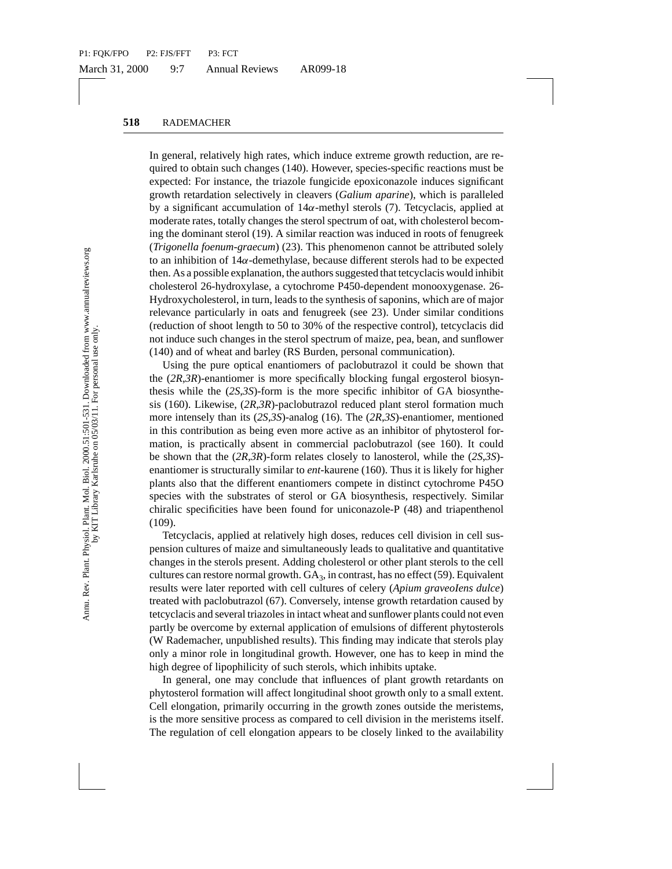In general, relatively high rates, which induce extreme growth reduction, are required to obtain such changes (140). However, species-specific reactions must be expected: For instance, the triazole fungicide epoxiconazole induces significant growth retardation selectively in cleavers (*Galium aparine*), which is paralleled by a significant accumulation of 14α-methyl sterols (7). Tetcyclacis, applied at moderate rates, totally changes the sterol spectrum of oat, with cholesterol becoming the dominant sterol (19). A similar reaction was induced in roots of fenugreek (*Trigonella foenum-graecum*) (23). This phenomenon cannot be attributed solely to an inhibition of 14α-demethylase, because different sterols had to be expected then. As a possible explanation, the authors suggested that tetcyclacis would inhibit cholesterol 26-hydroxylase, a cytochrome P450-dependent monooxygenase. 26- Hydroxycholesterol, in turn, leads to the synthesis of saponins, which are of major relevance particularly in oats and fenugreek (see 23). Under similar conditions (reduction of shoot length to 50 to 30% of the respective control), tetcyclacis did not induce such changes in the sterol spectrum of maize, pea, bean, and sunflower (140) and of wheat and barley (RS Burden, personal communication).

ardation selectively in clearest (*Galum aparine*), which<br>are are and securely in effectively are electival fiction aparine), which a<br>ficant accumulation of 14 $\alpha$ -methyl sterols (7). Tety-clates, totally changes the ster Using the pure optical enantiomers of paclobutrazol it could be shown that the (*2R*,*3R*)-enantiomer is more specifically blocking fungal ergosterol biosynthesis while the (*2S*,*3S*)-form is the more specific inhibitor of GA biosynthesis (160). Likewise, (*2R*,*3R*)-paclobutrazol reduced plant sterol formation much more intensely than its (*2S*,*3S*)-analog (16). The (*2R*,*3S*)-enantiomer, mentioned in this contribution as being even more active as an inhibitor of phytosterol formation, is practically absent in commercial paclobutrazol (see 160). It could be shown that the (*2R*,*3R*)-form relates closely to lanosterol, while the (*2S*,*3S*) enantiomer is structurally similar to *ent*-kaurene (160). Thus it is likely for higher plants also that the different enantiomers compete in distinct cytochrome P45O species with the substrates of sterol or GA biosynthesis, respectively. Similar chiralic specificities have been found for uniconazole-P (48) and triapenthenol (109).

Tetcyclacis, applied at relatively high doses, reduces cell division in cell suspension cultures of maize and simultaneously leads to qualitative and quantitative changes in the sterols present. Adding cholesterol or other plant sterols to the cell cultures can restore normal growth.  $GA<sub>3</sub>$ , in contrast, has no effect (59). Equivalent results were later reported with cell cultures of celery (*Apium graveoIens dulce*) treated with paclobutrazol (67). Conversely, intense growth retardation caused by tetcyclacis and several triazoles in intact wheat and sunflower plants could not even partly be overcome by external application of emulsions of different phytosterols (W Rademacher, unpublished results). This finding may indicate that sterols play only a minor role in longitudinal growth. However, one has to keep in mind the high degree of lipophilicity of such sterols, which inhibits uptake.

In general, one may conclude that influences of plant growth retardants on phytosterol formation will affect longitudinal shoot growth only to a small extent. Cell elongation, primarily occurring in the growth zones outside the meristems, is the more sensitive process as compared to cell division in the meristems itself. The regulation of cell elongation appears to be closely linked to the availability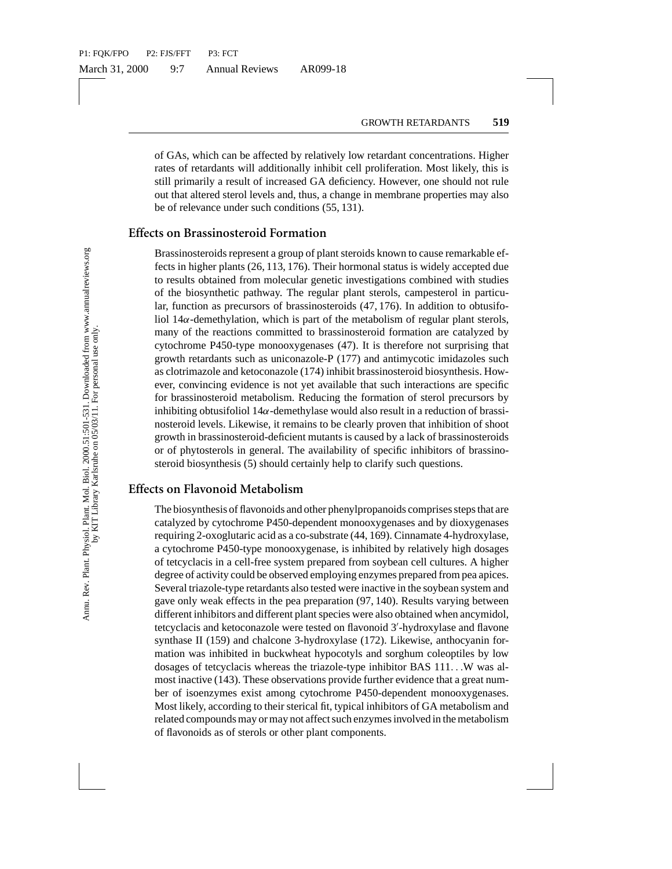of GAs, which can be affected by relatively low retardant concentrations. Higher rates of retardants will additionally inhibit cell proliferation. Most likely, this is still primarily a result of increased GA deficiency. However, one should not rule out that altered sterol levels and, thus, a change in membrane properties may also be of relevance under such conditions (55, 131).

#### **Effects on Brassinosteroid Formation**

Brassinosteroids represent a group of plant steroids known to cause remarkable effects in higher plants (26, 113, 176). Their hormonal status is widely accepted due to results obtained from molecular genetic investigations combined with studies of the biosynthetic pathway. The regular plant sterols, campesterol in particular, function as precursors of brassinosteroids (47, 176). In addition to obtusifoliol  $14\alpha$ -demethylation, which is part of the metabolism of regular plant sterols, many of the reactions committed to brassinosteroid formation are catalyzed by cytochrome P450-type monooxygenases (47). It is therefore not surprising that growth retardants such as uniconazole-P (177) and antimycotic imidazoles such as clotrimazole and ketoconazole (174) inhibit brassinosteroid biosynthesis. However, convincing evidence is not yet available that such interactions are specific for brassinosteroid metabolism. Reducing the formation of sterol precursors by inhibiting obtusifoliol  $14\alpha$ -demethylase would also result in a reduction of brassinosteroid levels. Likewise, it remains to be clearly proven that inhibition of shoot growth in brassinosteroid-deficient mutants is caused by a lack of brassinosteroids or of phytosterols in general. The availability of specific inhibitors of brassinosteroid biosynthesis (5) should certainly help to clarify such questions.

#### **Effects on Flavonoid Metabolism**

Itered sterol levels and, thus, a change in membrane pro<br>vance under such conditions (55, 131).<br> **assinosteroid Formation** (55, 131).<br> **assinosteroid Formation**<br>
steroids hown to cause<br>
igher plants (26, 113, 176). Their h The biosynthesis of flavonoids and other phenylpropanoids comprises steps that are catalyzed by cytochrome P450-dependent monooxygenases and by dioxygenases requiring 2-oxoglutaric acid as a co-substrate (44, 169). Cinnamate 4-hydroxylase, a cytochrome P450-type monooxygenase, is inhibited by relatively high dosages of tetcyclacis in a cell-free system prepared from soybean cell cultures. A higher degree of activity could be observed employing enzymes prepared from pea apices. Several triazole-type retardants also tested were inactive in the soybean system and gave only weak effects in the pea preparation (97, 140). Results varying between different inhibitors and different plant species were also obtained when ancymidol, tetcyclacis and ketoconazole were tested on flavonoid 3'-hydroxylase and flavone synthase II (159) and chalcone 3-hydroxylase (172). Likewise, anthocyanin formation was inhibited in buckwheat hypocotyls and sorghum coleoptiles by low dosages of tetcyclacis whereas the triazole-type inhibitor BAS 111...W was almost inactive (143). These observations provide further evidence that a great number of isoenzymes exist among cytochrome P450-dependent monooxygenases. Most likely, according to their sterical fit, typical inhibitors of GA metabolism and related compounds may or may not affect such enzymes involved in the metabolism of flavonoids as of sterols or other plant components.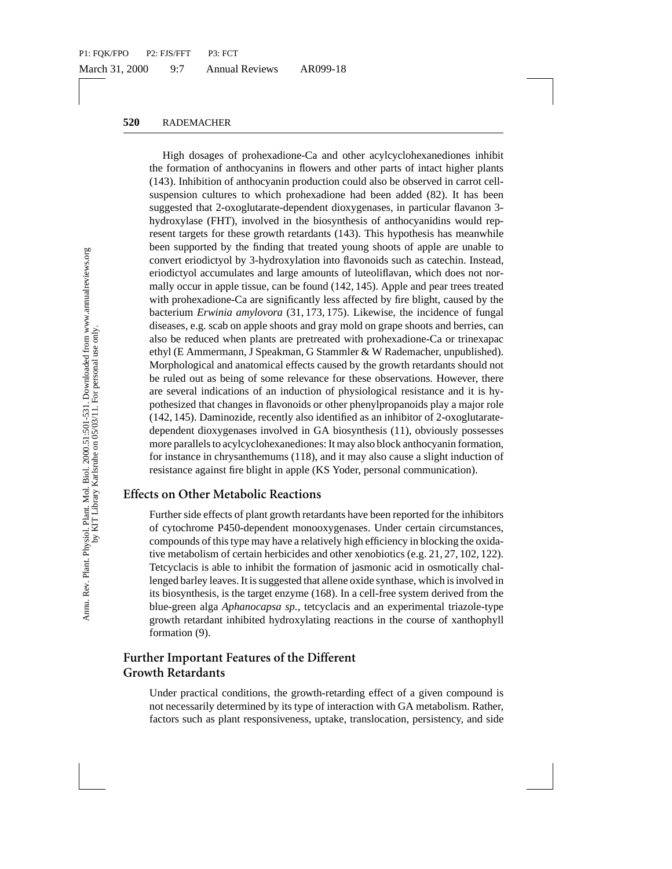n elltures to which prohexadione had been added (83<br>that 2-oxoglutarate-dependent dioxygenases, in particular<br>se (FHT), involved in the biosynthesis of anthocyanid<br>se (FHT), involved in the biosynthesis of anthocyanid<br>orte High dosages of prohexadione-Ca and other acylcyclohexanediones inhibit the formation of anthocyanins in flowers and other parts of intact higher plants (143). Inhibition of anthocyanin production could also be observed in carrot cellsuspension cultures to which prohexadione had been added (82). It has been suggested that 2-oxoglutarate-dependent dioxygenases, in particular flavanon 3 hydroxylase (FHT), involved in the biosynthesis of anthocyanidins would represent targets for these growth retardants (143). This hypothesis has meanwhile been supported by the finding that treated young shoots of apple are unable to convert eriodictyol by 3-hydroxylation into flavonoids such as catechin. Instead, eriodictyol accumulates and large amounts of luteoliflavan, which does not normally occur in apple tissue, can be found (142, 145). Apple and pear trees treated with prohexadione-Ca are significantly less affected by fire blight, caused by the bacterium *Erwinia amylovora* (31, 173, 175). Likewise, the incidence of fungal diseases, e.g. scab on apple shoots and gray mold on grape shoots and berries, can also be reduced when plants are pretreated with prohexadione-Ca or trinexapac ethyl (E Ammermann, J Speakman, G Stammler & W Rademacher, unpublished). Morphological and anatomical effects caused by the growth retardants should not be ruled out as being of some relevance for these observations. However, there are several indications of an induction of physiological resistance and it is hypothesized that changes in flavonoids or other phenylpropanoids play a major role (142, 145). Daminozide, recently also identified as an inhibitor of 2-oxoglutaratedependent dioxygenases involved in GA biosynthesis (11), obviously possesses more parallels to acylcyclohexanediones: It may also block anthocyanin formation, for instance in chrysanthemums (118), and it may also cause a slight induction of resistance against fire blight in apple (KS Yoder, personal communication).

### **Effects on Other Metabolic Reactions**

Further side effects of plant growth retardants have been reported for the inhibitors of cytochrome P450-dependent monooxygenases. Under certain circumstances, compounds of this type may have a relatively high efficiency in blocking the oxidative metabolism of certain herbicides and other xenobiotics (e.g. 21, 27, 102, 122). Tetcyclacis is able to inhibit the formation of jasmonic acid in osmotically challenged barley leaves. It is suggested that allene oxide synthase, which is involved in its biosynthesis, is the target enzyme (168). In a cell-free system derived from the blue-green alga *Aphanocapsa sp.*, tetcyclacis and an experimental triazole-type growth retardant inhibited hydroxylating reactions in the course of xanthophyll formation (9).

## **Further Important Features of the Different Growth Retardants**

Under practical conditions, the growth-retarding effect of a given compound is not necessarily determined by its type of interaction with GA metabolism. Rather, factors such as plant responsiveness, uptake, translocation, persistency, and side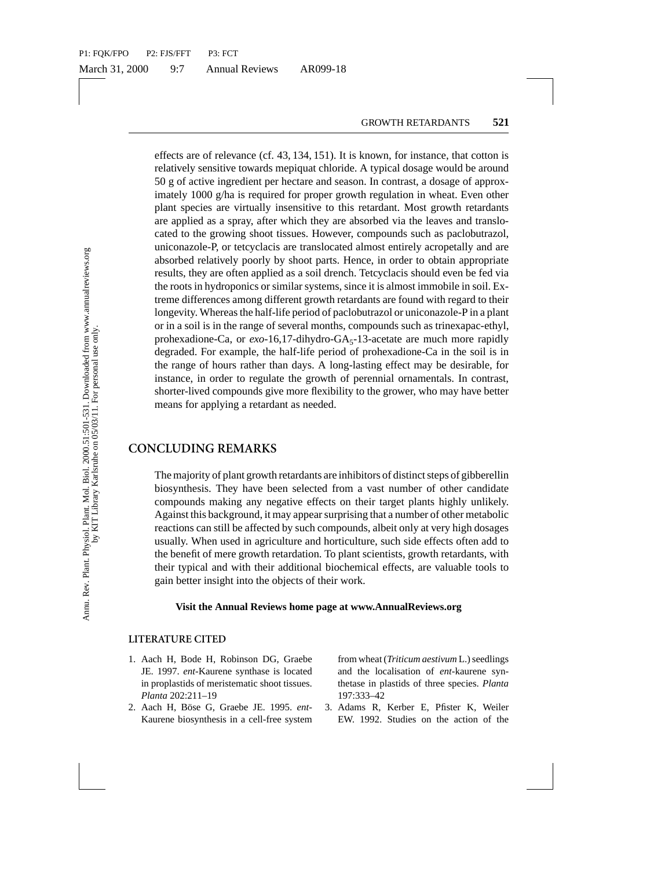000 g/ha is required for proper growth regulation in work<br>dietis are virtually insensitive to this retardant. Most given as a spray, after which they are absorbed via the lead<br>ole-P, or tetcyclatics are translocated almos effects are of relevance (cf. 43, 134, 151). It is known, for instance, that cotton is relatively sensitive towards mepiquat chloride. A typical dosage would be around 50 g of active ingredient per hectare and season. In contrast, a dosage of approximately 1000 g/ha is required for proper growth regulation in wheat. Even other plant species are virtually insensitive to this retardant. Most growth retardants are applied as a spray, after which they are absorbed via the leaves and translocated to the growing shoot tissues. However, compounds such as paclobutrazol, uniconazole-P, or tetcyclacis are translocated almost entirely acropetally and are absorbed relatively poorly by shoot parts. Hence, in order to obtain appropriate results, they are often applied as a soil drench. Tetcyclacis should even be fed via the roots in hydroponics or similar systems, since it is almost immobile in soil. Extreme differences among different growth retardants are found with regard to their longevity. Whereas the half-life period of paclobutrazol or uniconazole-P in a plant or in a soil is in the range of several months, compounds such as trinexapac-ethyl, prohexadione-Ca, or *exo*-16,17-dihydro-GA<sub>5</sub>-13-acetate are much more rapidly degraded. For example, the half-life period of prohexadione-Ca in the soil is in the range of hours rather than days. A long-lasting effect may be desirable, for instance, in order to regulate the growth of perennial ornamentals. In contrast, shorter-lived compounds give more flexibility to the grower, who may have better means for applying a retardant as needed.

#### **CONCLUDING REMARKS**

The majority of plant growth retardants are inhibitors of distinct steps of gibberellin biosynthesis. They have been selected from a vast number of other candidate compounds making any negative effects on their target plants highly unlikely. Against this background, it may appear surprising that a number of other metabolic reactions can still be affected by such compounds, albeit only at very high dosages usually. When used in agriculture and horticulture, such side effects often add to the benefit of mere growth retardation. To plant scientists, growth retardants, with their typical and with their additional biochemical effects, are valuable tools to gain better insight into the objects of their work.

#### **Visit the Annual Reviews home page at www.AnnualReviews.org**

#### **LITERATURE CITED**

- 1. Aach H, Bode H, Robinson DG, Graebe JE. 1997. *ent*-Kaurene synthase is located in proplastids of meristematic shoot tissues. *Planta* 202:211–19
- 2. Aach H, Böse G, Graebe JE. 1995. ent-Kaurene biosynthesis in a cell-free system

from wheat (*Triticum aestivum* L.) seedlings and the localisation of *ent*-kaurene synthetase in plastids of three species. *Planta* 197:333–42

3. Adams R, Kerber E, Pfister K, Weiler EW. 1992. Studies on the action of the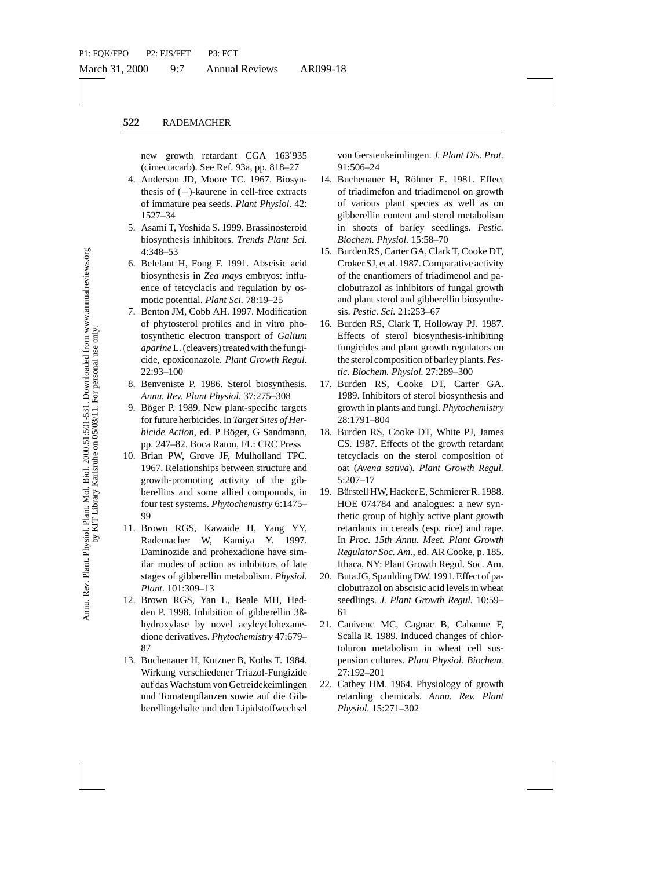new growth retardant CGA 163'935 (cimectacarb). See Ref. 93a, pp. 818–27

- 4. Anderson JD, Moore TC. 1967. Biosynthesis of (−)-kaurene in cell-free extracts of immature pea seeds. *Plant Physiol.* 42: 1527–34
- 5. Asami T, Yoshida S. 1999. Brassinosteroid biosynthesis inhibitors. *Trends Plant Sci.* 4:348–53
- 6. Belefant H, Fong F. 1991. Abscisic acid biosynthesis in *Zea mays* embryos: influence of tetcyclacis and regulation by osmotic potential. *Plant Sci.* 78:19–25
- 7. Benton JM, Cobb AH. 1997. Modification of phytosterol profiles and in vitro photosynthetic electron transport of *Galium aparine*L. (cleavers) treated with the fungicide, epoxiconazole. *Plant Growth Regul.* 22:93–100
- 8. Benveniste P. 1986. Sterol biosynthesis. *Annu. Rev. Plant Physiol.* 37:275–308
- 9. Böger P. 1989. New plant-specific targets for future herbicides. In *Target Sites of Herbicide Action*, ed. P Böger, G Sandmann, pp. 247–82. Boca Raton, FL: CRC Press
- 10. Brian PW, Grove JF, Mulholland TPC. 1967. Relationships between structure and growth-promoting activity of the gibberellins and some allied compounds, in four test systems. *Phytochemistry* 6:1475– 99
- 11. Brown RGS, Kawaide H, Yang YY, Rademacher W, Kamiya Y. 1997. Daminozide and prohexadione have similar modes of action as inhibitors of late stages of gibberellin metabolism. *Physiol. Plant.* 101:309–13
- 12. Brown RGS, Yan L, Beale MH, Hedden P. 1998. Inhibition of gibberellin 3ßhydroxylase by novel acylcyclohexanedione derivatives. *Phytochemistry* 47:679– 87
- 13. Buchenauer H, Kutzner B, Koths T. 1984. Wirkung verschiedener Triazol-Fungizide auf das Wachstum von Getreidekeimlingen und Tomatenpflanzen sowie auf die Gibberellingehalte und den Lipidstoffwechsel

von Gerstenkeimlingen. *J. Plant Dis. Prot.* 91:506–24

- 14. Buchenauer H, Röhner E. 1981. Effect of triadimefon and triadimenol on growth of various plant species as well as on gibberellin content and sterol metabolism in shoots of barley seedlings. *Pestic. Biochem. Physiol.* 15:58–70
- 15. Burden RS, Carter GA, Clark T, Cooke DT, Croker SJ, et al. 1987. Comparative activity of the enantiomers of triadimenol and paclobutrazol as inhibitors of fungal growth and plant sterol and gibberellin biosynthesis. *Pestic. Sci.* 21:253–67
- 16. Burden RS, Clark T, Holloway PJ. 1987. Effects of sterol biosynthesis-inhibiting fungicides and plant growth regulators on the sterol composition of barley plants.*Pestic. Biochem. Physiol.* 27:289–300
- 17. Burden RS, Cooke DT, Carter GA. 1989. Inhibitors of sterol biosynthesis and growth in plants and fungi. *Phytochemistry* 28:1791–804
- 18. Burden RS, Cooke DT, White PJ, James CS. 1987. Effects of the growth retardant tetcyclacis on the sterol composition of oat (*Avena sativa*). *Plant Growth Regul.* 5:207–17
- **EXERIBATION IN THE SERVIGE THE SERVIGE THE SALAMON IN THE SALAMON (Search Service) and S. 1999. Brassinosteroid in shoots plane thread in the spin Houst of bar and model in contact and republic in the spin Houst of the e** 19. Bürstell HW, Hacker E, Schmierer R. 1988. HOE 074784 and analogues: a new synthetic group of highly active plant growth retardants in cereals (esp. rice) and rape. In *Proc. 15th Annu. Meet. Plant Growth Regulator Soc. Am.*, ed. AR Cooke, p. 185. Ithaca, NY: Plant Growth Regul. Soc. Am.
	- 20. Buta JG, Spaulding DW. 1991. Effect of paclobutrazol on abscisic acid levels in wheat seedlings. *J. Plant Growth Regul.* 10:59– 61
	- 21. Canivenc MC, Cagnac B, Cabanne F, Scalla R. 1989. Induced changes of chlortoluron metabolism in wheat cell suspension cultures. *Plant Physiol. Biochem.* 27:192–201
	- 22. Cathey HM. 1964. Physiology of growth retarding chemicals. *Annu. Rev. Plant Physiol.* 15:271–302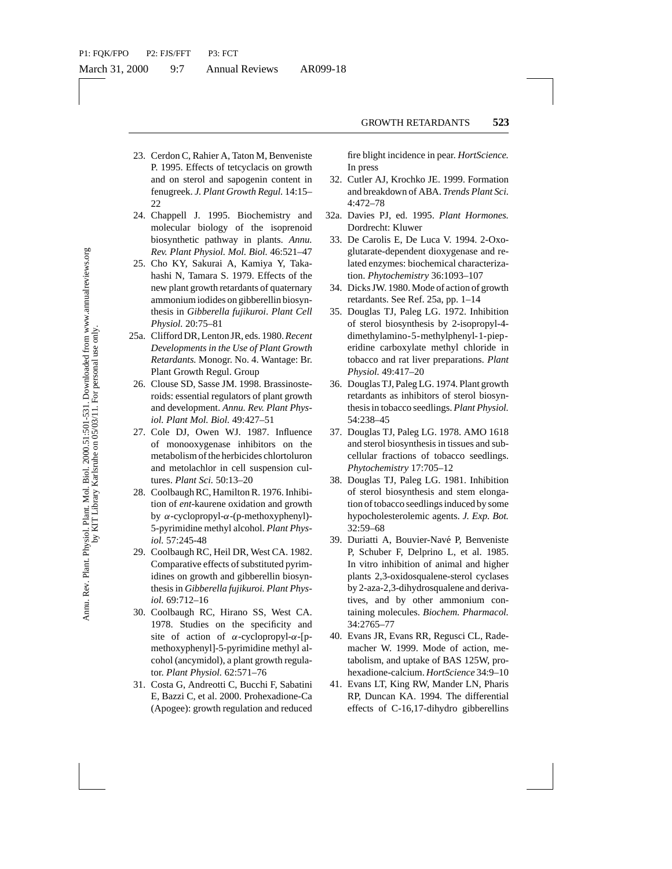- 23. Cerdon C, Rahier A, Taton M, Benveniste P. 1995. Effects of tetcyclacis on growth and on sterol and sapogenin content in fenugreek. *J. Plant Growth Regul.* 14:15– 22
- 24. Chappell J. 1995. Biochemistry and molecular biology of the isoprenoid biosynthetic pathway in plants. *Annu. Rev. Plant Physiol. Mol. Biol.* 46:521–47
- 25. Cho KY, Sakurai A, Kamiya Y, Takahashi N, Tamara S. 1979. Effects of the new plant growth retardants of quaternary ammonium iodides on gibberellin biosynthesis in *Gibberella fujikuroi*. *Plant Cell Physiol.* 20:75–81
- 25a. Clifford DR, Lenton JR, eds. 1980.*Recent Developments in the Use of Plant Growth Retardants.* Monogr. No. 4. Wantage: Br. Plant Growth Regul. Group
- 26. Clouse SD, Sasse JM. 1998. Brassinosteroids: essential regulators of plant growth and development. *Annu. Rev. Plant Physiol. Plant Mol. Biol.* 49:427–51
- 27. Cole DJ, Owen WJ. 1987. Influence of monooxygenase inhibitors on the metabolism of the herbicides chlortoluron and metolachlor in cell suspension cultures. *Plant Sci.* 50:13–20
- 28. Coolbaugh RC, Hamilton R. 1976. Inhibition of *ent*-kaurene oxidation and growth by α-cyclopropyl-α-(p-methoxyphenyl)- 5-pyrimidine methyl alcohol. *Plant Physiol.* 57:245-48
- 29. Coolbaugh RC, Heil DR, West CA. 1982. Comparative effects of substituted pyrimidines on growth and gibberellin biosynthesis in *Gibberella fujikuroi. Plant Physiol.* 69:712–16
- 30. Coolbaugh RC, Hirano SS, West CA. 1978. Studies on the specificity and site of action of  $\alpha$ -cyclopropyl- $\alpha$ -[pmethoxyphenyl]-5-pyrimidine methyl alcohol (ancymidol), a plant growth regulator. *Plant Physiol.* 62:571–76
- 31. Costa G, Andreotti C, Bucchi F, Sabatini E, Bazzi C, et al. 2000. Prohexadione-Ca (Apogee): growth regulation and reduced

fire blight incidence in pear. *HortScience.* In press

- 32. Cutler AJ, Krochko JE. 1999. Formation and breakdown of ABA. *Trends Plant Sci.* 4:472–78
- 32a. Davies PJ, ed. 1995. *Plant Hormones.* Dordrecht: Kluwer
- 33. De Carolis E, De Luca V. 1994. 2-Oxoglutarate-dependent dioxygenase and related enzymes: biochemical characterization. *Phytochemistry* 36:1093–107
- 34. Dicks JW. 1980. Mode of action of growth retardants. See Ref. 25a, pp. 1–14
- 35. Douglas TJ, Paleg LG. 1972. Inhibition of sterol biosynthesis by 2-isopropyl-4 dimethylamino-5-methylphenyl-1-pieperidine carboxylate methyl chloride in tobacco and rat liver preparations. *Plant Physiol.* 49:417–20
- 36. Douglas TJ, Paleg LG. 1974. Plant growth retardants as inhibitors of sterol biosynthesis in tobacco seedlings. *Plant Physiol.* 54:238–45
- 37. Douglas TJ, Paleg LG. 1978. AMO 1618 and sterol biosynthesis in tissues and subcellular fractions of tobacco seedlings. *Phytochemistry* 17:705–12
- 38. Douglas TJ, Paleg LG. 1981. Inhibition of sterol biosynthesis and stem elongation of tobacco seedlings induced by some hypocholesterolemic agents. *J. Exp. Bot.* 32:59–68
- 3. Fuant Orownt negati. 14.1.5-<br>
4.472-78<br>
into the isoperanisty and Ordentic Kluver<br>
132. December 14.4.19-3<br>
biology of the isoperanid 32a. Davis EI, d195.<br>
c pathway in plants. Amut.<br>
4.472-78<br>
c pathway in plants. Amu 39. Duriatti A, Bouvier-Navé P, Benveniste P, Schuber F, Delprino L, et al. 1985. In vitro inhibition of animal and higher plants 2,3-oxidosqualene-sterol cyclases by 2-aza-2,3-dihydrosqualene and derivatives, and by other ammonium containing molecules. *Biochem. Pharmacol.* 34:2765–77
	- 40. Evans JR, Evans RR, Regusci CL, Rademacher W. 1999. Mode of action, metabolism, and uptake of BAS 125W, prohexadione-calcium. *HortScience* 34:9–10
	- 41. Evans LT, King RW, Mander LN, Pharis RP, Duncan KA. 1994. The differential effects of C-16,17-dihydro gibberellins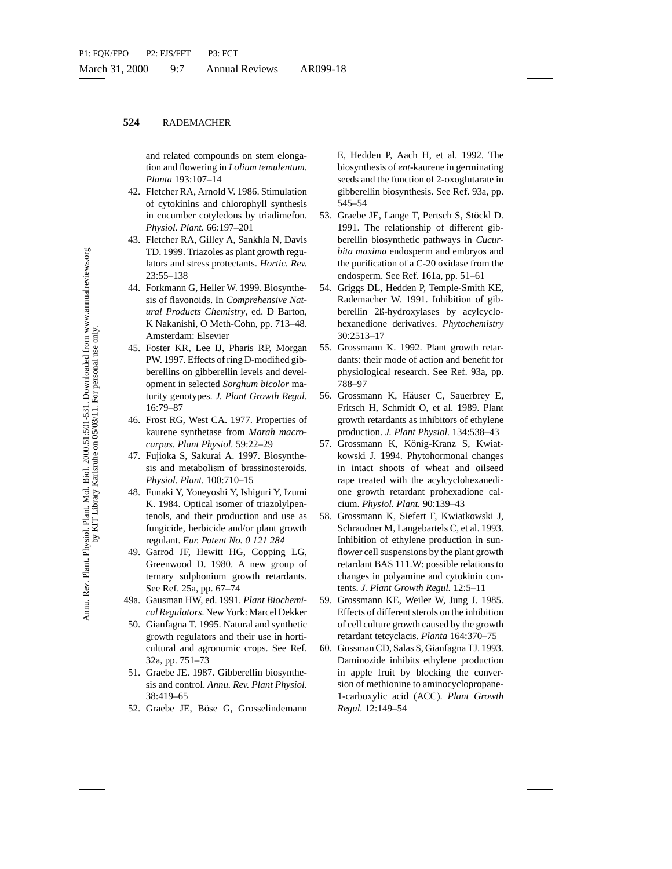and related compounds on stem elongation and flowering in *Lolium temulentum. Planta* 193:107–14

- 42. Fletcher RA, Arnold V. 1986. Stimulation of cytokinins and chlorophyll synthesis in cucumber cotyledons by triadimefon. *Physiol. Plant.* 66:197–201
- 43. Fletcher RA, Gilley A, Sankhla N, Davis TD. 1999. Triazoles as plant growth regulators and stress protectants. *Hortic. Rev.* 23:55–138
- 44. Forkmann G, Heller W. 1999. Biosynthesis of flavonoids. In *Comprehensive Natural Products Chemistry*, ed. D Barton, K Nakanishi, O Meth-Cohn, pp. 713–48. Amsterdam: Elsevier
- 45. Foster KR, Lee IJ, Pharis RP, Morgan PW. 1997. Effects of ring D-modified gibberellins on gibberellin levels and development in selected *Sorghum bicolor* maturity genotypes. *J. Plant Growth Regul.* 16:79–87
- 46. Frost RG, West CA. 1977. Properties of kaurene synthetase from *Marah macrocarpus. Plant Physiol.* 59:22–29
- 47. Fujioka S, Sakurai A. 1997. Biosynthesis and metabolism of brassinosteroids. *Physiol. Plant.* 100:710–15
- 48. Funaki Y, Yoneyoshi Y, Ishiguri Y, Izumi K. 1984. Optical isomer of triazolylpentenols, and their production and use as fungicide, herbicide and/or plant growth regulant. *Eur. Patent No. 0 121 284*
- 49. Garrod JF, Hewitt HG, Copping LG, Greenwood D. 1980. A new group of ternary sulphonium growth retardants. See Ref. 25a, pp. 67–74
- 49a. Gausman HW, ed. 1991. *Plant Biochemical Regulators.*New York: Marcel Dekker
	- 50. Gianfagna T. 1995. Natural and synthetic growth regulators and their use in horticultural and agronomic crops. See Ref. 32a, pp. 751–73
	- 51. Graebe JE. 1987. Gibberellin biosynthesis and control. *Annu. Rev. Plant Physiol.* 38:419–65
	- 52. Graebe JE, Böse G, Grosselindemann

E, Hedden P, Aach H, et al. 1992. The biosynthesis of *ent*-kaurene in germinating seeds and the function of 2-oxoglutarate in gibberellin biosynthesis. See Ref. 93a, pp. 545–54

- 53. Graebe JE, Lange T, Pertsch S, Stöckl D. 1991. The relationship of different gibberellin biosynthetic pathways in *Cucurbita maxima* endosperm and embryos and the purification of a C-20 oxidase from the endosperm. See Ref. 161a, pp. 51–61
- 54. Griggs DL, Hedden P, Temple-Smith KE, Rademacher W. 1991. Inhibition of gibberellin 2ß-hydroxylases by acylcyclohexanedione derivatives. *Phytochemistry* 30:2513–17
- 55. Grossmann K. 1992. Plant growth retardants: their mode of action and benefit for physiological research. See Ref. 93a, pp. 788–97
- 56. Grossmann K, Häuser C, Sauerbrey E, Fritsch H, Schmidt O, et al. 1989. Plant growth retardants as inhibitors of ethylene production. *J. Plant Physiol.* 134:538–43
- 57. Grossmann K, König-Kranz S, Kwiatkowski J. 1994. Phytohormonal changes in intact shoots of wheat and oilseed rape treated with the acylcyclohexanedione growth retardant prohexadione calcium. *Physiol. Plant.* 90:139–43
- Anton v. 1900. sumuaton<br>
and elaborophyll synthesis<br>
coluberal states. The elationship<br>
coluberal states and the states of the states of the states of the<br>
int. 66:197-201<br>
16. Giren and the state of the maximum endoperm<br> 58. Grossmann K, Siefert F, Kwiatkowski J, Schraudner M, Langebartels C, et al. 1993. Inhibition of ethylene production in sunflower cell suspensions by the plant growth retardant BAS 111.W: possible relations to changes in polyamine and cytokinin contents. *J. Plant Growth Regul.* 12:5–11
	- 59. Grossmann KE, Weiler W, Jung J. 1985. Effects of different sterols on the inhibition of cell culture growth caused by the growth retardant tetcyclacis. *Planta* 164:370–75
	- 60. Gussman CD, Salas S, Gianfagna TJ. 1993. Daminozide inhibits ethylene production in apple fruit by blocking the conversion of methionine to aminocyclopropane-1-carboxylic acid (ACC). *Plant Growth Regul.* 12:149–54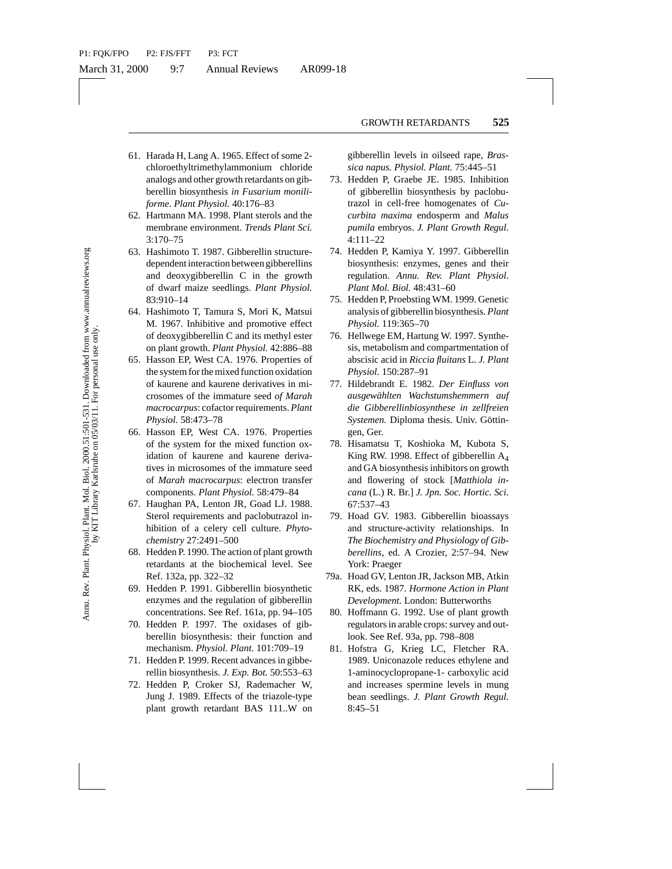- 61. Harada H, Lang A. 1965. Effect of some 2 chloroethyltrimethylammonium chloride analogs and other growth retardants on gibberellin biosynthesis *in Fusarium moniliforme*. *Plant Physiol.* 40:176–83
- 62. Hartmann MA. 1998. Plant sterols and the membrane environment. *Trends Plant Sci.* 3:170–75
- 63. Hashimoto T. 1987. Gibberellin structuredependent interaction between gibberellins and deoxygibberellin C in the growth of dwarf maize seedlings. *Plant Physiol.* 83:910–14
- 64. Hashimoto T, Tamura S, Mori K, Matsui M. 1967. Inhibitive and promotive effect of deoxygibberellin C and its methyl ester on plant growth. *Plant Physiol.* 42:886–88
- 65. Hasson EP, West CA. 1976. Properties of the system for the mixed function oxidation of kaurene and kaurene derivatives in microsomes of the immature seed *of Marah macrocarpus*: cofactor requirements. *Plant Physiol.* 58:473–78
- yntuses in Fatarium monution<br>
This Paysiol. 40:176-83<br>
Taxis in Fatarium monution and the control and the control of the control of the control of the control of the control of the control of the control of the seedlings. 66. Hasson EP, West CA. 1976. Properties of the system for the mixed function oxidation of kaurene and kaurene derivatives in microsomes of the immature seed of *Marah macrocarpus*: electron transfer components. *Plant Physiol.* 58:479–84
- 67. Haughan PA, Lenton JR, Goad LJ. 1988. Sterol requirements and paclobutrazol inhibition of a celery cell culture. *Phytochemistry* 27:2491–500
- 68. Hedden P. 1990. The action of plant growth retardants at the biochemical level. See Ref. 132a, pp. 322–32
- 69. Hedden P. 1991. Gibberellin biosynthetic enzymes and the regulation of gibberellin concentrations. See Ref. 161a, pp. 94–105
- 70. Hedden P. 1997. The oxidases of gibberellin biosynthesis: their function and mechanism. *Physiol. Plant.* 101:709–19
- 71. Hedden P. 1999. Recent advances in gibberellin biosynthesis. *J. Exp. Bot.* 50:553–63
- 72. Hedden P, Croker SJ, Rademacher W, Jung J. 1989. Effects of the triazole-type plant growth retardant BAS 111..W on

gibberellin levels in oilseed rape, *Brassica napus. Physiol. Plant.* 75:445–51

- 73. Hedden P, Graebe JE. 1985. Inhibition of gibberellin biosynthesis by paclobutrazol in cell-free homogenates of *Cucurbita maxima* endosperm and *Malus pumila* embryos. *J. Plant Growth Regul.* 4:111–22
- 74. Hedden P, Kamiya Y. 1997. Gibberellin biosynthesis: enzymes, genes and their regulation. *Annu. Rev. Plant Physiol. Plant Mol. Biol.* 48:431–60
- 75. Hedden P, Proebsting WM. 1999. Genetic analysis of gibberellin biosynthesis. *Plant Physiol.* 119:365–70
- 76. Hellwege EM, Hartung W. 1997. Synthesis, metabolism and compartmentation of abscisic acid in *Riccia fluitans* L. *J. Plant Physiol.* 150:287–91
- 77. Hildebrandt E. 1982. *Der Einfluss von ausgewahlten Wachstumshemmern auf ¨ die Gibberellinbiosynthese in zellfreien* Systemen. Diploma thesis. Univ. Göttingen, Ger.
- 78. Hisamatsu T, Koshioka M, Kubota S, King RW. 1998. Effect of gibberellin A4 and GA biosynthesis inhibitors on growth and flowering of stock [*Matthiola incana* (L.) R. Br.] *J. Jpn. Soc. Hortic. Sci.* 67:537–43
- 79. Hoad GV. 1983. Gibberellin bioassays and structure-activity relationships. In *The Biochemistry and Physiology of Gibberellins*, ed. A Crozier, 2:57–94. New York: Praeger
- 79a. Hoad GV, Lenton JR, Jackson MB, Atkin RK, eds. 1987. *Hormone Action in Plant Development.* London: Butterworths
- 80. Hoffmann G. 1992. Use of plant growth regulators in arable crops: survey and outlook. See Ref. 93a, pp. 798–808
- 81. Hofstra G, Krieg LC, Fletcher RA. 1989. Uniconazole reduces ethylene and 1-aminocyclopropane-1- carboxylic acid and increases spermine levels in mung bean seedlings. *J. Plant Growth Regul.* 8:45–51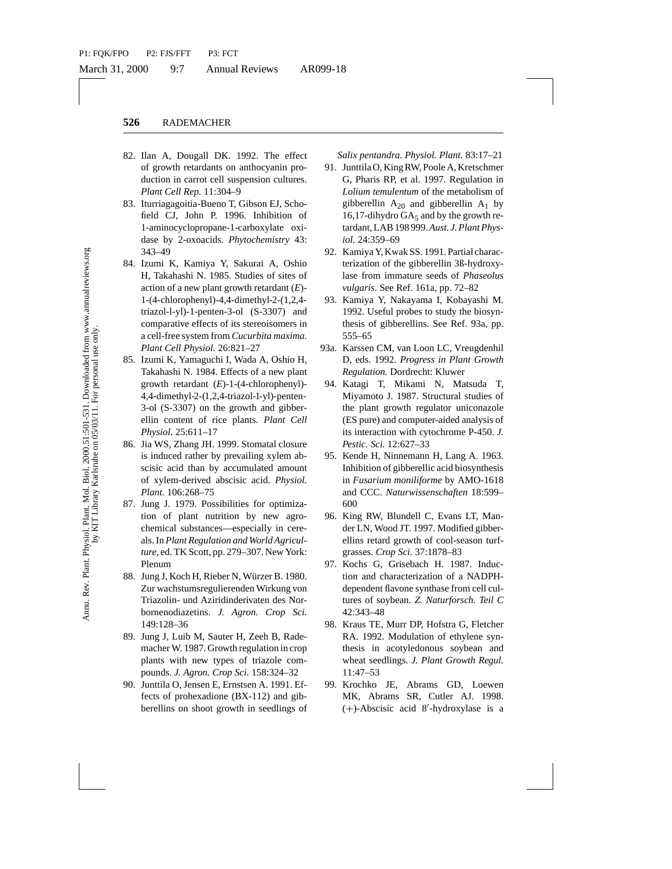- 82. Ilan A, Dougall DK. 1992. The effect of growth retardants on anthocyanin production in carrot cell suspension cultures. *Plant Cell Rep.* 11:304–9
- 83. Iturriagagoitia-Bueno T, Gibson EJ, Schofield CJ, John P. 1996. Inhibition of 1-aminocyclopropane-1-carboxylate oxidase by 2-oxoacids. *Phytochemistry* 43: 343–49
- 1.1.3.<br>
1.3. The Figure and The Bottom Folioson EJ, Schonnel and the Bottom and the Bottom Chibibition of the 1976. Inhibition of the 1976 and gibberellin A<sub>20</sub> and gi<br>
1.4. They bottom and the 1976 and the 1976 and the P 84. Izumi K, Kamiya Y, Sakurai A, Oshio H, Takahashi N. 1985. Studies of sites of action of a new plant growth retardant (*E*)- 1-(4-chlorophenyl)-4,4-dimethyl-2-(1,2,4 triazol-l-yl)-1-penten-3-ol (S-3307) and comparative effects of its stereoisomers in a cell-free system from *Cucurbita maxima. Plant Cell Physiol.* 26:821–27
- 85. Izumi K, Yamaguchi I, Wada A, Oshio H, Takahashi N. 1984. Effects of a new plant growth retardant (*E*)-1-(4-chlorophenyl)- 4,4-dimethyl-2-(1,2,4-triazol-1-yl)-penten-3-ol (S-3307) on the growth and gibberellin content of rice plants. *Plant Cell Physiol.* 25:611–17
- 86. Jia WS, Zhang JH. 1999. Stomatal closure is induced rather by prevailing xylem abscisic acid than by accumulated amount of xylem-derived abscisic acid. *Physiol. Plant.* 106:268–75
- 87. Jung J. 1979. Possibilities for optimization of plant nutrition by new agrochemical substances—especially in cereals. In *Plant Regulation and World Agriculture*, ed. TK Scott, pp. 279–307. New York: Plenum
- 88. Jung J, Koch H, Rieber N, Würzer B. 1980. Zur wachstumsregulierenden Wirkung von Triazolin- und Aziridinderivaten des Norbornenodiazetins. *J. Agron. Crop Sci.* 149:128–36
- 89. Jung J, Luib M, Sauter H, Zeeh B, Rademacher W. 1987. Growth regulation in crop plants with new types of triazole compounds. *J. Agron. Crop Sci.* 158:324–32
- 90. Junttila O, Jensen E, Ernstsen A. 1991. Effects of prohexadione (BX-112) and gibberellins on shoot growth in seedlings of

*Salix pentandra. Physiol. Plant.* 83:17–21

- 91. Junttila O, King RW, Poole A, Kretschmer G, Pharis RP, et al. 1997. Regulation in *Lolium temulentum* of the metabolism of gibberellin  $A_{20}$  and gibberellin  $A_1$  by 16,17-dihydro  $GA_5$  and by the growth retardant, LAB 198 999.*Aust. J. Plant Physiol.* 24:359–69
- 92. Kamiya Y, Kwak SS. 1991. Partial characterization of the gibberellin 3ß-hydroxylase from immature seeds of *Phaseolus vulgaris*. See Ref. 161a, pp. 72–82
- 93. Kamiya Y, Nakayama I, Kobayashi M. 1992. Useful probes to study the biosynthesis of gibberellins. See Ref. 93a, pp. 555–65
- 93a. Karssen CM, van Loon LC, Vreugdenhil D, eds. 1992. *Progress in Plant Growth Regulation.* Dordrecht: Kluwer
- 94. Katagi T, Mikami N, Matsuda T, Miyamoto J. 1987. Structural studies of the plant growth regulator uniconazole (ES pure) and computer-aided analysis of its interaction with cytochrome P-450. *J. Pestic. Sci.* 12:627–33
- 95. Kende H, Ninnemann H, Lang A. 1963. Inhibition of gibberellic acid biosynthesis in *Fusarium moniliforme* by AMO-1618 and CCC. *Naturwissenschaften* 18:599– 600
- 96. King RW, Blundell C, Evans LT, Mander LN, Wood JT. 1997. Modified gibberellins retard growth of cool-season turfgrasses. *Crop Sci.* 37:1878–83
- 97. Kochs G, Grisebach H. 1987. Induction and characterization of a NADPHdependent flavone synthase from cell cultures of soybean. *Z. Naturforsch. Teil C* 42:343–48
- 98. Kraus TE, Murr DP, Hofstra G, Fletcher RA. 1992. Modulation of ethylene synthesis in acotyledonous soybean and wheat seedlings. *J. Plant Growth Regul.* 11:47–53
- 99. Krochko JE, Abrams GD, Loewen MK, Abrams SR, Cutler AJ. 1998.  $(+)$ -Abscisic acid 8'-hydroxylase is a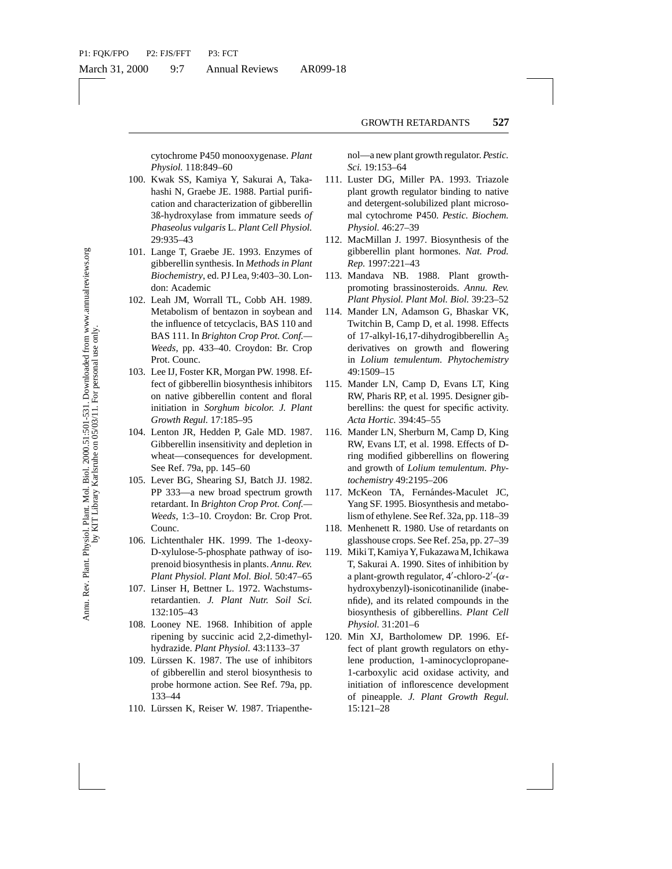cytochrome P450 monooxygenase. *Plant Physiol.* 118:849–60

- 100. Kwak SS, Kamiya Y, Sakurai A, Takahashi N, Graebe JE. 1988. Partial purification and characterization of gibberellin 3ß-hydroxylase from immature seeds *of Phaseolus vulgaris* L. *Plant Cell Physiol.* 29:935–43
- 101. Lange T, Graebe JE. 1993. Enzymes of gibberellin synthesis. In *Methods in Plant Biochemistry*, ed. PJ Lea, 9:403–30. London: Academic
- 102. Leah JM, Worrall TL, Cobb AH. 1989. Metabolism of bentazon in soybean and the influence of tetcyclacis, BAS 110 and BAS 111. In *Brighton Crop Prot. Conf.— Weeds*, pp. 433–40. Croydon: Br. Crop Prot. Counc.
- 103. Lee IJ, Foster KR, Morgan PW. 1998. Effect of gibberellin biosynthesis inhibitors on native gibberellin content and floral initiation in *Sorghum bicolor. J. Plant Growth Regul.* 17:185–95
- 104. Lenton JR, Hedden P, Gale MD. 1987. Gibberellin insensitivity and depletion in wheat—consequences for development. See Ref. 79a, pp. 145–60
- 105. Lever BG, Shearing SJ, Batch JJ. 1982. PP 333—a new broad spectrum growth retardant. In *Brighton Crop Prot. Conf.— Weeds*, 1:3–10. Croydon: Br. Crop Prot. Counc.
- 106. Lichtenthaler HK. 1999. The 1-deoxy-D-xylulose-5-phosphate pathway of isoprenoid biosynthesis in plants. *Annu. Rev. Plant Physiol. Plant Mol. Biol.* 50:47–65
- 107. Linser H, Bettner L. 1972. Wachstumsretardantien. *J. Plant Nutr. Soil Sci.* 132:105–43
- 108. Looney NE. 1968. Inhibition of apple ripening by succinic acid 2,2-dimethylhydrazide. *Plant Physiol.* 43:1133–37
- 109. Lürssen K. 1987. The use of inhibitors of gibberellin and sterol biosynthesis to probe hormone action. See Ref. 79a, pp. 133–44
- 110. Lürssen K, Reiser W. 1987. Triapenthe-

nol—a new plant growth regulator. *Pestic. Sci.* 19:153–64

- 111. Luster DG, Miller PA. 1993. Triazole plant growth regulator binding to native and detergent-solubilized plant microsomal cytochrome P450. *Pestic. Biochem. Physiol.* 46:27–39
- 112. MacMillan J. 1997. Biosynthesis of the gibberellin plant hormones. *Nat. Prod. Rep.* 1997:221–43
- 113. Mandava NB. 1988. Plant growthpromoting brassinosteroids. *Annu. Rev. Plant Physiol. Plant Mol. Biol.* 39:23–52
- 114. Mander LN, Adamson G, Bhaskar VK, Twitchin B, Camp D, et al. 1998. Effects of 17-alkyl-16,17-dihydrogibberellin  $A_5$ derivatives on growth and flowering in *Lolium temulentum. Phytochemistry* 49:1509–15
- 115. Mander LN, Camp D, Evans LT, King RW, Pharis RP, et al. 1995. Designer gibberellins: the quest for specific activity. *Acta Hortic.* 394:45–55
- 116. Mander LN, Sherburn M, Camp D, King RW, Evans LT, et al. 1998. Effects of Dring modified gibberellins on flowering and growth of *Lolium temulentum. Phytochemistry* 49:2195–206
- 117. McKeon TA, Fernándes-Maculet JC, Yang SF. 1995. Biosynthesis and metabolism of ethylene. See Ref. 32a, pp. 118–39
- 118. Menhenett R. 1980. Use of retardants on glasshouse crops. See Ref. 25a, pp. 27–39
- 119. Miki T, Kamiya Y, Fukazawa M, Ichikawa T, Sakurai A. 1990. Sites of inhibition by a plant-growth regulator,  $4'$ -chloro- $2'$ - $(\alpha$ hydroxybenzyl)-isonicotinanilide (inabenfide), and its related compounds in the biosynthesis of gibberellins. *Plant Cell Physiol.* 31:201–6
- atacter J. 1966. Fauld puinting (woull regulated that increase to the that increase of the mimature seeds of the physiol. After and exterpenent P450 magning and external experiment in the physiol. After the Hysiol (46:27–3 120. Min XJ, Bartholomew DP. 1996. Effect of plant growth regulators on ethylene production, 1-aminocyclopropane-1-carboxylic acid oxidase activity, and initiation of inflorescence development of pineapple. *J. Plant Growth Regul.* 15:121–28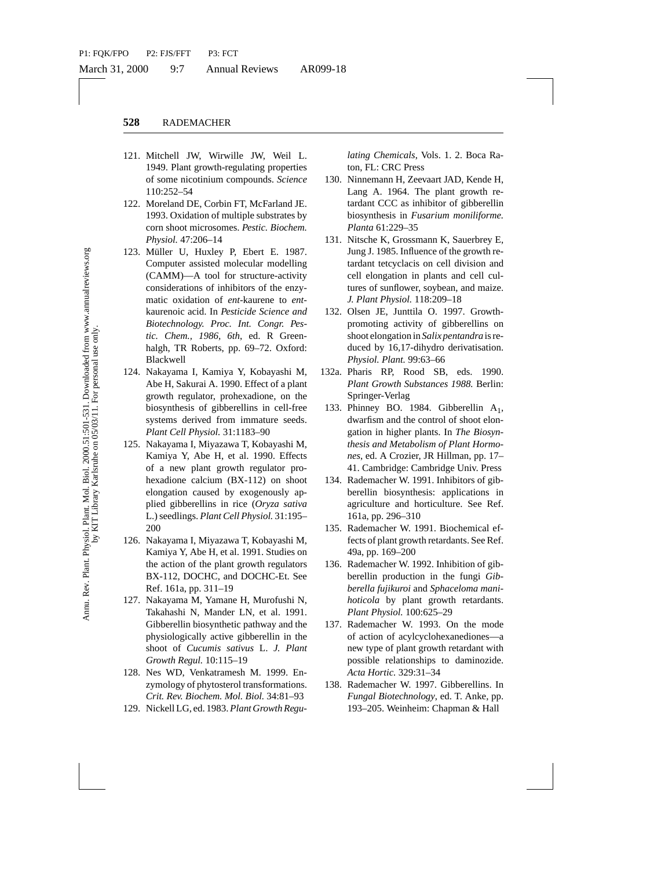- 121. Mitchell JW, Wirwille JW, Weil L. 1949. Plant growth-regulating properties of some nicotinium compounds. *Science* 110:252–54
- 122. Moreland DE, Corbin FT, McFarland JE. 1993. Oxidation of multiple substrates by corn shoot microsomes. *Pestic. Biochem. Physiol.* 47:206–14
- E, Corbin FT, McFarland JE.<br>
incrosomes. Pestic, Biochem funding A. 1904, 1101<br>
incrosomes. Pestic, Biochem.<br>
Planta GCC as inhibitions increases. The started increases and the planta of the main of the started modelling 123. Müller U, Huxley P, Ebert E. 1987. Computer assisted molecular modelling (CAMM)—A tool for structure-activity considerations of inhibitors of the enzymatic oxidation of *ent*-kaurene to *ent*kaurenoic acid. In *Pesticide Science and Biotechnology. Proc. Int. Congr. Pestic. Chem., 1986, 6th*, ed. R Greenhalgh, TR Roberts, pp. 69–72. Oxford: Blackwell
- 124. Nakayama I, Kamiya Y, Kobayashi M, Abe H, Sakurai A. 1990. Effect of a plant growth regulator, prohexadione, on the biosynthesis of gibberellins in cell-free systems derived from immature seeds. *Plant Cell Physiol.* 31:1183–90
- 125. Nakayama I, Miyazawa T, Kobayashi M, Kamiya Y, Abe H, et al. 1990. Effects of a new plant growth regulator prohexadione calcium (BX-112) on shoot elongation caused by exogenously applied gibberellins in rice (*Oryza sativa* L.) seedlings. *Plant Cell Physiol.* 31:195– 200
- 126. Nakayama I, Miyazawa T, Kobayashi M, Kamiya Y, Abe H, et al. 1991. Studies on the action of the plant growth regulators BX-112, DOCHC, and DOCHC-Et. See Ref. 161a, pp. 311–19
- 127. Nakayama M, Yamane H, Murofushi N, Takahashi N, Mander LN, et al. 1991. Gibberellin biosynthetic pathway and the physiologically active gibberellin in the shoot of *Cucumis sativus* L. *J. Plant Growth Regul.* 10:115–19
- 128. Nes WD, Venkatramesh M. 1999. Enzymology of phytosterol transformations. *Crit. Rev. Biochem. Mol. Biol.* 34:81–93
- 129. Nickell LG, ed. 1983.*Plant Growth Regu-*

*lating Chemicals*, Vols. 1. 2. Boca Raton, FL: CRC Press

- 130. Ninnemann H, Zeevaart JAD, Kende H, Lang A. 1964. The plant growth retardant CCC as inhibitor of gibberellin biosynthesis in *Fusarium moniliforme. Planta* 61:229–35
- 131. Nitsche K, Grossmann K, Sauerbrey E, Jung J. 1985. Influence of the growth retardant tetcyclacis on cell division and cell elongation in plants and cell cultures of sunflower, soybean, and maize. *J. Plant Physiol.* 118:209–18
- 132. Olsen JE, Junttila O. 1997. Growthpromoting activity of gibberellins on shoot elongation in *Salix pentandra* is reduced by 16,17-dihydro derivatisation. *Physiol. Plant.* 99:63–66
- 132a. Pharis RP, Rood SB, eds. 1990. *Plant Growth Substances 1988.* Berlin: Springer-Verlag
- 133. Phinney BO. 1984. Gibberellin  $A_1$ , dwarfism and the control of shoot elongation in higher plants. In *The Biosynthesis and Metabolism of Plant Hormones*, ed. A Crozier, JR Hillman, pp. 17– 41. Cambridge: Cambridge Univ. Press
- 134. Rademacher W. 1991. Inhibitors of gibberellin biosynthesis: applications in agriculture and horticulture. See Ref. 161a, pp. 296–310
- 135. Rademacher W. 1991. Biochemical effects of plant growth retardants. See Ref. 49a, pp. 169–200
- 136. Rademacher W. 1992. Inhibition of gibberellin production in the fungi *Gibberella fujikuroi* and *Sphaceloma manihoticola* by plant growth retardants. *Plant Physiol.* 100:625–29
- 137. Rademacher W. 1993. On the mode of action of acylcyclohexanediones—a new type of plant growth retardant with possible relationships to daminozide. *Acta Hortic.* 329:31–34
- 138. Rademacher W. 1997. Gibberellins. In *Fungal Biotechnology*, ed. T. Anke, pp. 193–205. Weinheim: Chapman & Hall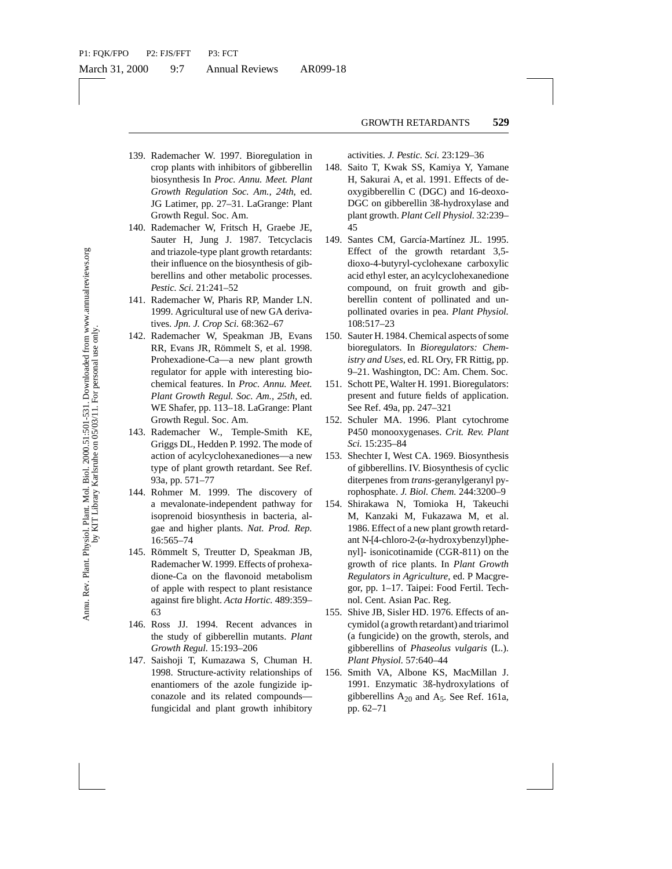- 139. Rademacher W. 1997. Bioregulation in crop plants with inhibitors of gibberellin biosynthesis In *Proc. Annu. Meet. Plant Growth Regulation Soc. Am., 24th*, ed. JG Latimer, pp. 27–31. LaGrange: Plant Growth Regul. Soc. Am.
- 140. Rademacher W, Fritsch H, Graebe JE, Sauter H, Jung J. 1987. Tetcyclacis and triazole-type plant growth retardants: their influence on the biosynthesis of gibberellins and other metabolic processes. *Pestic. Sci.* 21:241–52
- 141. Rademacher W, Pharis RP, Mander LN. 1999. Agricultural use of new GA derivatives. *Jpn. J. Crop Sci.* 68:362–67
- 142. Rademacher W, Speakman JB, Evans RR, Evans JR, Römmelt S, et al. 1998. Prohexadione-Ca—a new plant growth regulator for apple with interesting biochemical features. In *Proc. Annu. Meet. Plant Growth Regul. Soc. Am., 25th*, ed. WE Shafer, pp. 113–18. LaGrange: Plant Growth Regul. Soc. Am.
- 143. Rademacher W., Temple-Smith KE, Griggs DL, Hedden P. 1992. The mode of action of acylcyclohexanediones—a new type of plant growth retardant. See Ref. 93a, pp. 571–77
- 144. Rohmer M. 1999. The discovery of a mevalonate-independent pathway for isoprenoid biosynthesis in bacteria, algae and higher plants. *Nat. Prod. Rep.* 16:565–74
- 145. Römmelt S, Treutter D, Speakman JB, Rademacher W. 1999. Effects of prohexadione-Ca on the flavonoid metabolism of apple with respect to plant resistance against fire blight. *Acta Hortic.* 489:359– 63
- 146. Ross JJ. 1994. Recent advances in the study of gibberellin mutants. *Plant Growth Regul.* 15:193–206
- 147. Saishoji T, Kumazawa S, Chuman H. 1998. Structure-activity relationships of enantiomers of the azole fungizide ipconazole and its related compounds fungicidal and plant growth inhibitory

activities. *J. Pestic. Sci.* 23:129–36

- 148. Saito T, Kwak SS, Kamiya Y, Yamane H, Sakurai A, et al. 1991. Effects of deoxygibberellin C (DGC) and 16-deoxo-DGC on gibberellin 3ß-hydroxylase and plant growth. *Plant Cell Physiol.* 32:239– 45
- 149. Santes CM, García-Martínez JL. 1995. Effect of the growth retardant 3,5 dioxo-4-butyryl-cyclohexane carboxylic acid ethyl ester, an acylcyclohexanedione compound, on fruit growth and gibberellin content of pollinated and unpollinated ovaries in pea. *Plant Physiol.* 108:517–23
- 150. Sauter H. 1984. Chemical aspects of some bioregulators. In *Bioregulators: Chemistry and Uses*, ed. RL Ory, FR Rittig, pp. 9–21. Washington, DC: Am. Chem. Soc.
- 151. Schott PE, Walter H. 1991. Bioregulators: present and future fields of application. See Ref. 49a, pp. 247–321
- 152. Schuler MA. 1996. Plant cytochrome P450 monooxygenases. *Crit. Rev. Plant Sci.* 15:235–84
- 153. Shechter I, West CA. 1969. Biosynthesis of gibberellins. IV. Biosynthesis of cyclic diterpenes from *trans*-geranylgeranyl pyrophosphate. *J. Biol. Chem.* 244:3200–9
- guation obe. Am, 24th, et, the spin and the conduct of the spin spin Sec. Am, 251, 1927. The pharma conduction of the spin spin spin Sec. Am, 1987. Tetrychais Effect of the growth experiments: First, First, The point and 154. Shirakawa N, Tomioka H, Takeuchi M, Kanzaki M, Fukazawa M, et al. 1986. Effect of a new plant growth retardant N-[4-chloro-2- $(\alpha$ -hydroxybenzyl)phenyl]- isonicotinamide (CGR-811) on the growth of rice plants. In *Plant Growth Regulators in Agriculture*, ed. P Macgregor, pp. 1–17. Taipei: Food Fertil. Technol. Cent. Asian Pac. Reg.
	- 155. Shive JB, Sisler HD. 1976. Effects of ancymidol (a growth retardant) and triarimol (a fungicide) on the growth, sterols, and gibberellins of *Phaseolus vulgaris* (L.). *Plant Physiol.* 57:640–44
	- 156. Smith VA, Albone KS, MacMillan J. 1991. Enzymatic 3ß-hydroxylations of gibberellins  $A_{20}$  and  $A_5$ . See Ref. 161a, pp. 62–71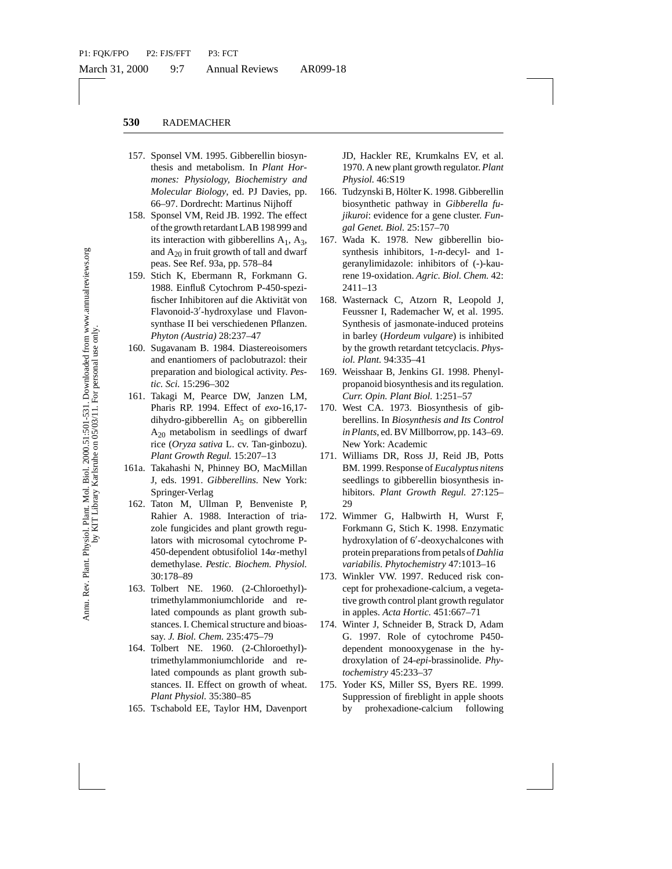- 157. Sponsel VM. 1995. Gibberellin biosynthesis and metabolism. In *Plant Hormones: Physiology, Biochemistry and Molecular Biology*, ed. PJ Davies, pp. 66–97. Dordrecht: Martinus Nijhoff
- 158. Sponsel VM, Reid JB. 1992. The effect of the growth retardant LAB 198 999 and its interaction with gibberellins  $A_1$ ,  $A_3$ , and  $A_{20}$  in fruit growth of tall and dwarf peas. See Ref. 93a, pp. 578–84
- 159. Stich K, Ebermann R, Forkmann G. 1988. Einfluß Cytochrom P-450-spezifischer Inhibitoren auf die Aktivität von Flavonoid-3'-hydroxylase und Flavonsynthase II bei verschiedenen Pflanzen. *Phyton (Austria)* 28:237–47
- 160. Sugavanam B. 1984. Diastereoisomers and enantiomers of paclobutrazol: their preparation and biological activity. *Pestic. Sci.* 15:296–302
- 161. Takagi M, Pearce DW, Janzen LM, Pharis RP. 1994. Effect of *exo*-16,17 dihydro-gibberellin  $A_5$  on gibberellin  $A_{20}$  metabolism in seedlings of dwarf rice (*Oryza sativa* L. cv. Tan-ginbozu). *Plant Growth Regul.* 15:207–13
- 161a. Takahashi N, Phinney BO, MacMillan J, eds. 1991. *Gibberellins.* New York: Springer-Verlag
- Brown, eel 1992. The effect<br>
drecht: Martinus Nijhoff<br>
drecht: Martinus Nijhoff<br>
Are the toty interact in the context of the state in the tact in the tack of the the tack of the the tack of the effect<br>
of the tack of the 162. Taton M, Ullman P, Benveniste P, Rahier A. 1988. Interaction of triazole fungicides and plant growth regulators with microsomal cytochrome P-450-dependent obtusifoliol  $14\alpha$ -methyl demethylase. *Pestic. Biochem. Physiol.* 30:178–89
- 163. Tolbert NE. 1960. (2-Chloroethyl) trimethylammoniumchloride and related compounds as plant growth substances. I. Chemical structure and bioassay. *J. Biol. Chem.* 235:475–79
- 164. Tolbert NE. 1960. (2-Chloroethyl) trimethylammoniumchloride and related compounds as plant growth substances. II. Effect on growth of wheat. *Plant Physiol.* 35:380–85
- 165. Tschabold EE, Taylor HM, Davenport

JD, Hackler RE, Krumkalns EV, et al. 1970. A new plant growth regulator. *Plant Physiol.* 46:S19

- 166. Tudzynski B, Hölter K. 1998. Gibberellin biosynthetic pathway in *Gibberella fujikuroi*: evidence for a gene cluster. *Fungal Genet. Biol.* 25:157–70
- 167. Wada K. 1978. New gibberellin biosynthesis inhibitors, 1-*n*-decyl- and 1 geranylimidazole: inhibitors of (-)-kaurene 19-oxidation. *Agric. Biol. Chem.* 42: 2411–13
- 168. Wasternack C, Atzorn R, Leopold J, Feussner I, Rademacher W, et al. 1995. Synthesis of jasmonate-induced proteins in barley (*Hordeum vulgare*) is inhibited by the growth retardant tetcyclacis. *Physiol. Plant.* 94:335–41
- 169. Weisshaar B, Jenkins GI. 1998. Phenylpropanoid biosynthesis and its regulation. *Curr. Opin. Plant Biol.* 1:251–57
- 170. West CA. 1973. Biosynthesis of gibberellins. In *Biosynthesis and Its Control in Plants*, ed. BV Millborrow, pp. 143–69. New York: Academic
- 171. Williams DR, Ross JJ, Reid JB, Potts BM. 1999. Response of *Eucalyptus nitens* seedlings to gibberellin biosynthesis inhibitors. *Plant Growth Regul.* 27:125– 29
- 172. Wimmer G, Halbwirth H, Wurst F, Forkmann G, Stich K. 1998. Enzymatic hydroxylation of 6'-deoxychalcones with protein preparations from petals of*Dahlia variabilis*. *Phytochemistry* 47:1013–16
- 173. Winkler VW. 1997. Reduced risk concept for prohexadione-calcium, a vegetative growth control plant growth regulator in apples. *Acta Hortic.* 451:667–71
- 174. Winter J, Schneider B, Strack D, Adam G. 1997. Role of cytochrome P450 dependent monooxygenase in the hydroxylation of 24-*epi*-brassinolide. *Phytochemistry* 45:233–37
- 175. Yoder KS, Miller SS, Byers RE. 1999. Suppression of fireblight in apple shoots by prohexadione-calcium following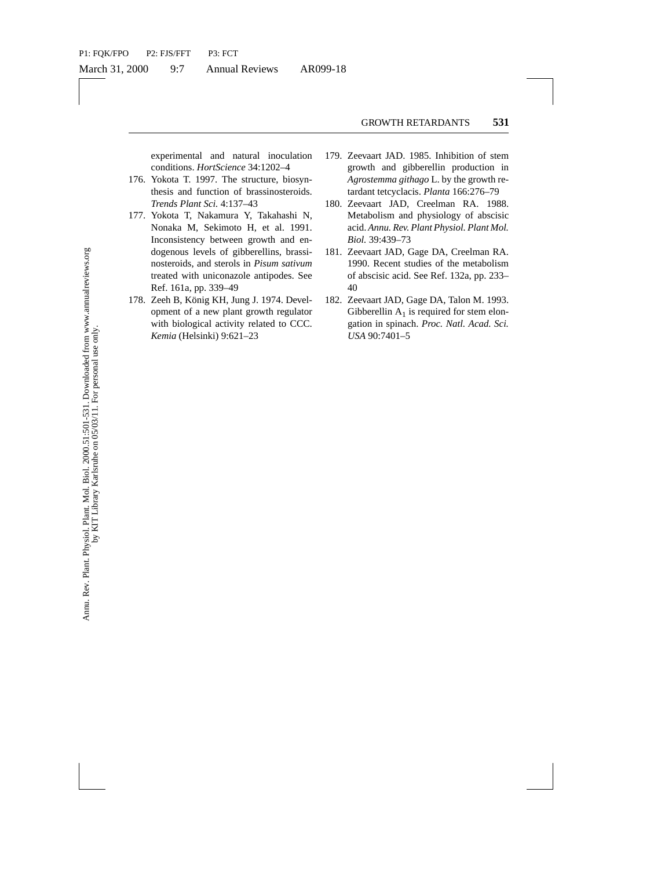experimental and natural inoculation conditions. *HortScience* 34:1202–4

- 176. Yokota T. 1997. The structure, biosynthesis and function of brassinosteroids. *Trends Plant Sci.* 4:137–43
- unction of the same technicals. For a single strength and technical reductions of Nakamura Y, Takahashi N, Metabolism and physical R, Sekimoto H, et al. 1991. acid. Amun. Rev. Plant Pays between growth and en and teroids 177. Yokota T, Nakamura Y, Takahashi N, Nonaka M, Sekimoto H, et al. 1991. Inconsistency between growth and endogenous levels of gibberellins, brassinosteroids, and sterols in *Pisum sativum* treated with uniconazole antipodes. See Ref. 161a, pp. 339–49
- 178. Zeeh B, König KH, Jung J. 1974. Development of a new plant growth regulator with biological activity related to CCC. *Kemia* (Helsinki) 9:621–23
- 179. Zeevaart JAD. 1985. Inhibition of stem growth and gibberellin production in *Agrostemma githago* L. by the growth retardant tetcyclacis. *Planta* 166:276–79
- 180. Zeevaart JAD, Creelman RA. 1988. Metabolism and physiology of abscisic acid. *Annu. Rev. Plant Physiol. Plant Mol. Biol.* 39:439–73
- 181. Zeevaart JAD, Gage DA, Creelman RA. 1990. Recent studies of the metabolism of abscisic acid. See Ref. 132a, pp. 233– 40
- 182. Zeevaart JAD, Gage DA, Talon M. 1993. Gibberellin  $A_1$  is required for stem elongation in spinach. *Proc. Natl. Acad. Sci. USA* 90:7401–5